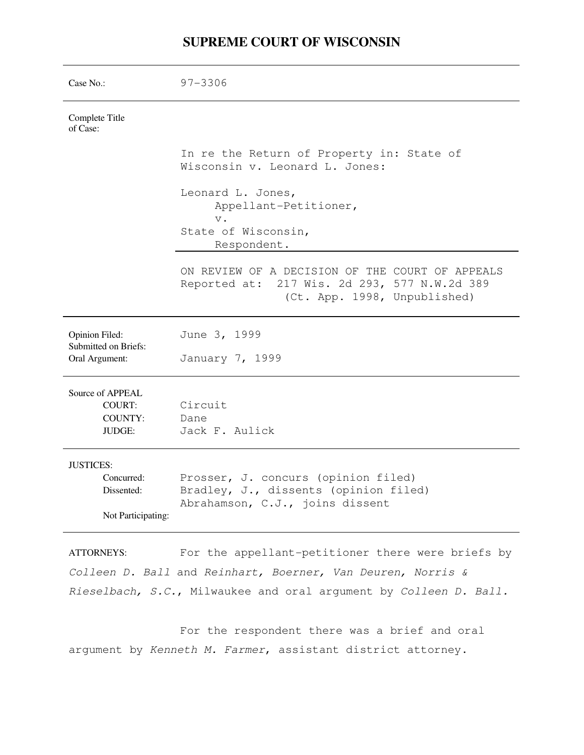# **SUPREME COURT OF WISCONSIN**

| Case $No.$ :                                                       | $97 - 3306$                                                                                                                     |  |  |
|--------------------------------------------------------------------|---------------------------------------------------------------------------------------------------------------------------------|--|--|
| Complete Title<br>of Case:                                         |                                                                                                                                 |  |  |
|                                                                    | In re the Return of Property in: State of<br>Wisconsin v. Leonard L. Jones:                                                     |  |  |
|                                                                    | Leonard L. Jones,<br>Appellant-Petitioner,<br>$V$ .<br>State of Wisconsin,<br>Respondent.                                       |  |  |
|                                                                    | ON REVIEW OF A DECISION OF THE COURT OF APPEALS<br>Reported at: 217 Wis. 2d 293, 577 N.W.2d 389<br>(Ct. App. 1998, Unpublished) |  |  |
| Opinion Filed:<br>Submitted on Briefs:<br>Oral Argument:           | June 3, 1999<br>January 7, 1999                                                                                                 |  |  |
| Source of APPEAL<br>COURT:<br><b>COUNTY:</b><br><b>JUDGE:</b>      | Circuit<br>Dane<br>Jack F. Aulick                                                                                               |  |  |
| <b>JUSTICES:</b><br>Concurred:<br>Dissented:<br>Not Participating: | Prosser, J. concurs (opinion filed)<br>Bradley, J., dissents (opinion filed)<br>Abrahamson, C.J., joins dissent                 |  |  |
|                                                                    |                                                                                                                                 |  |  |

ATTORNEYS: For the appellant-petitioner there were briefs by Colleen D. Ball and Reinhart, Boerner, Van Deuren, Norris & Rieselbach, S.C., Milwaukee and oral argument by Colleen D. Ball.

 For the respondent there was a brief and oral argument by Kenneth M. Farmer, assistant district attorney.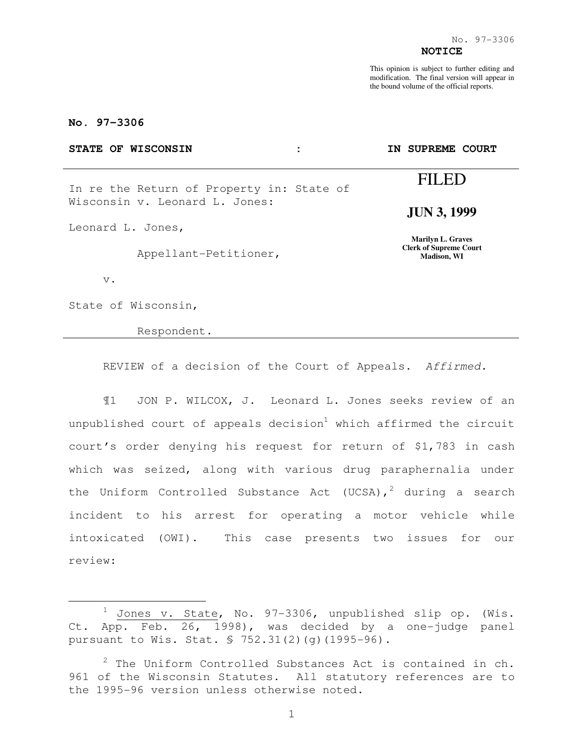This opinion is subject to further editing and modification. The final version will appear in the bound volume of the official reports.

## **No. 97-3306**

| STATE OF WISCONSIN                                                          | ٠<br>٠ | IN SUPREME COURT                                                         |
|-----------------------------------------------------------------------------|--------|--------------------------------------------------------------------------|
| In re the Return of Property in: State of<br>Wisconsin v. Leonard L. Jones: |        | FILED                                                                    |
|                                                                             |        | <b>JUN 3, 1999</b>                                                       |
| Leonard L. Jones,                                                           |        | <b>Marilyn L. Graves</b><br><b>Clerk of Supreme Court</b><br>Madison, WI |
| Appellant-Petitioner,                                                       |        |                                                                          |
| $V$ .                                                                       |        |                                                                          |

State of Wisconsin,

e<br>S

Respondent.

REVIEW of a decision of the Court of Appeals. Affirmed.

¶1 JON P. WILCOX, J. Leonard L. Jones seeks review of an unpublished court of appeals decision<sup>1</sup> which affirmed the circuit court's order denying his request for return of \$1,783 in cash which was seized, along with various drug paraphernalia under the Uniform Controlled Substance Act (UCSA),<sup>2</sup> during a search incident to his arrest for operating a motor vehicle while intoxicated (OWI). This case presents two issues for our review:

 $1$  Jones v. State, No. 97-3306, unpublished slip op. (Wis. Ct. App. Feb. 26, 1998), was decided by a one-judge panel pursuant to Wis. Stat. § 752.31(2)(g)(1995-96).

 $2$  The Uniform Controlled Substances Act is contained in ch. 961 of the Wisconsin Statutes. All statutory references are to the 1995-96 version unless otherwise noted.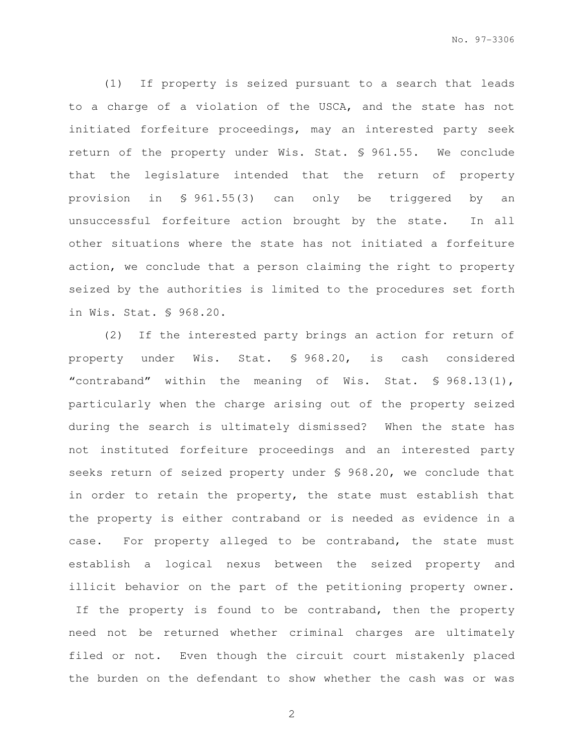(1) If property is seized pursuant to a search that leads to a charge of a violation of the USCA, and the state has not initiated forfeiture proceedings, may an interested party seek return of the property under Wis. Stat. § 961.55. We conclude that the legislature intended that the return of property provision in § 961.55(3) can only be triggered by an unsuccessful forfeiture action brought by the state. In all other situations where the state has not initiated a forfeiture action, we conclude that a person claiming the right to property seized by the authorities is limited to the procedures set forth in Wis. Stat. § 968.20.

(2) If the interested party brings an action for return of property under Wis. Stat. § 968.20, is cash considered "contraband" within the meaning of Wis. Stat. § 968.13(1), particularly when the charge arising out of the property seized during the search is ultimately dismissed? When the state has not instituted forfeiture proceedings and an interested party seeks return of seized property under § 968.20, we conclude that in order to retain the property, the state must establish that the property is either contraband or is needed as evidence in a case. For property alleged to be contraband, the state must establish a logical nexus between the seized property and illicit behavior on the part of the petitioning property owner. If the property is found to be contraband, then the property need not be returned whether criminal charges are ultimately filed or not. Even though the circuit court mistakenly placed the burden on the defendant to show whether the cash was or was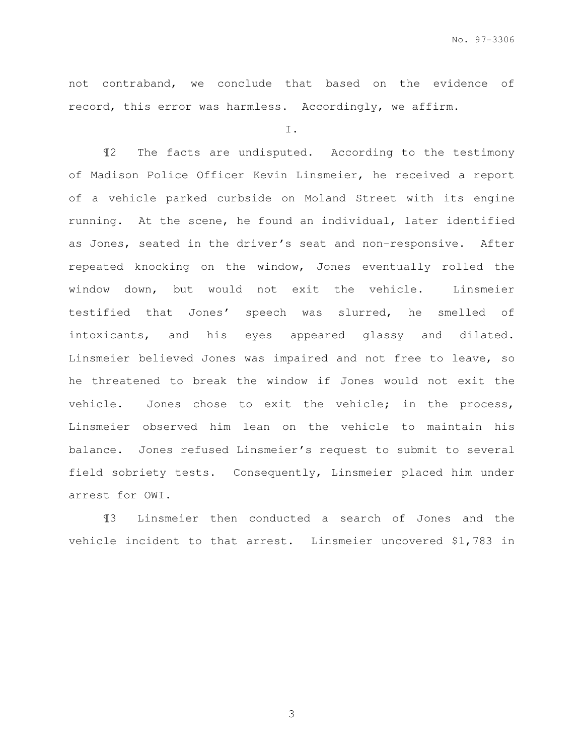not contraband, we conclude that based on the evidence of record, this error was harmless. Accordingly, we affirm.

I.

 ¶2 The facts are undisputed. According to the testimony of Madison Police Officer Kevin Linsmeier, he received a report of a vehicle parked curbside on Moland Street with its engine running. At the scene, he found an individual, later identified as Jones, seated in the driver's seat and non-responsive. After repeated knocking on the window, Jones eventually rolled the window down, but would not exit the vehicle. Linsmeier testified that Jones' speech was slurred, he smelled of intoxicants, and his eyes appeared glassy and dilated. Linsmeier believed Jones was impaired and not free to leave, so he threatened to break the window if Jones would not exit the vehicle. Jones chose to exit the vehicle; in the process, Linsmeier observed him lean on the vehicle to maintain his balance. Jones refused Linsmeier's request to submit to several field sobriety tests. Consequently, Linsmeier placed him under arrest for OWI.

 ¶3 Linsmeier then conducted a search of Jones and the vehicle incident to that arrest. Linsmeier uncovered \$1,783 in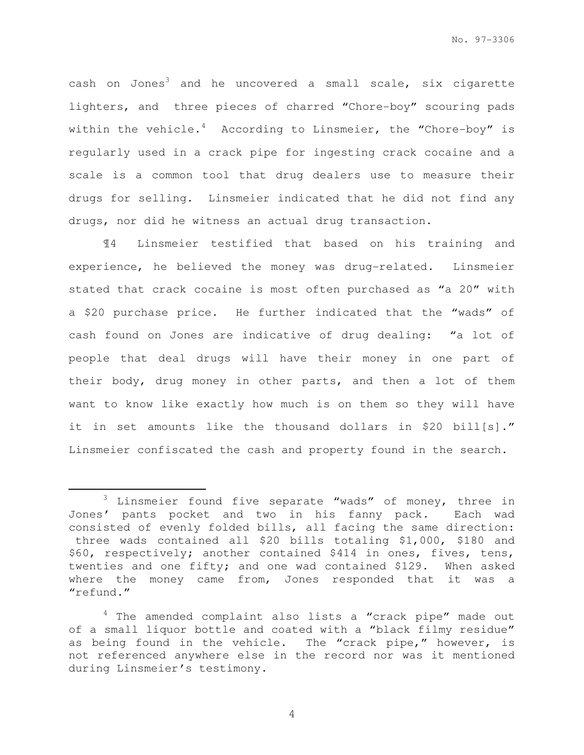cash on Jones<sup>3</sup> and he uncovered a small scale, six cigarette lighters, and three pieces of charred "Chore-boy" scouring pads within the vehicle.<sup>4</sup> According to Linsmeier, the "Chore-boy" is regularly used in a crack pipe for ingesting crack cocaine and a scale is a common tool that drug dealers use to measure their drugs for selling. Linsmeier indicated that he did not find any drugs, nor did he witness an actual drug transaction.

 ¶4 Linsmeier testified that based on his training and experience, he believed the money was drug-related. Linsmeier stated that crack cocaine is most often purchased as "a 20" with a \$20 purchase price. He further indicated that the "wads" of cash found on Jones are indicative of drug dealing: "a lot of people that deal drugs will have their money in one part of their body, drug money in other parts, and then a lot of them want to know like exactly how much is on them so they will have it in set amounts like the thousand dollars in \$20 bill[s]." Linsmeier confiscated the cash and property found in the search.

e<br>S

<sup>&</sup>lt;sup>3</sup> Linsmeier found five separate "wads" of money, three in Jones' pants pocket and two in his fanny pack. Each wad consisted of evenly folded bills, all facing the same direction: three wads contained all \$20 bills totaling \$1,000, \$180 and \$60, respectively; another contained \$414 in ones, fives, tens, twenties and one fifty; and one wad contained \$129. When asked where the money came from, Jones responded that it was a "refund."

<sup>&</sup>lt;sup>4</sup> The amended complaint also lists a "crack pipe" made out of a small liquor bottle and coated with a "black filmy residue" as being found in the vehicle. The "crack pipe," however, is not referenced anywhere else in the record nor was it mentioned during Linsmeier's testimony.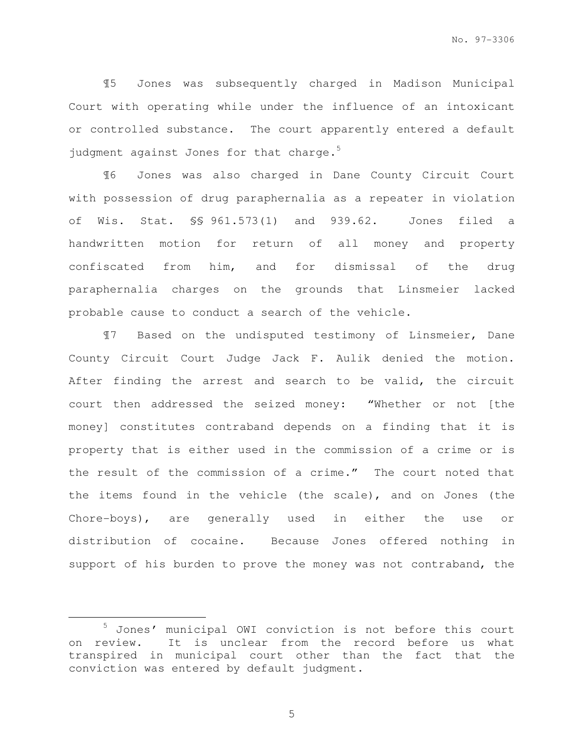¶5 Jones was subsequently charged in Madison Municipal Court with operating while under the influence of an intoxicant or controlled substance. The court apparently entered a default judgment against Jones for that charge.<sup>5</sup>

 ¶6 Jones was also charged in Dane County Circuit Court with possession of drug paraphernalia as a repeater in violation of Wis. Stat. §§ 961.573(1) and 939.62. Jones filed a handwritten motion for return of all money and property confiscated from him, and for dismissal of the drug paraphernalia charges on the grounds that Linsmeier lacked probable cause to conduct a search of the vehicle.

¶7 Based on the undisputed testimony of Linsmeier, Dane County Circuit Court Judge Jack F. Aulik denied the motion. After finding the arrest and search to be valid, the circuit court then addressed the seized money: "Whether or not [the money] constitutes contraband depends on a finding that it is property that is either used in the commission of a crime or is the result of the commission of a crime." The court noted that the items found in the vehicle (the scale), and on Jones (the Chore-boys), are generally used in either the use or distribution of cocaine. Because Jones offered nothing in support of his burden to prove the money was not contraband, the

e<br>S

<sup>5</sup> Jones' municipal OWI conviction is not before this court on review. It is unclear from the record before us what transpired in municipal court other than the fact that the conviction was entered by default judgment.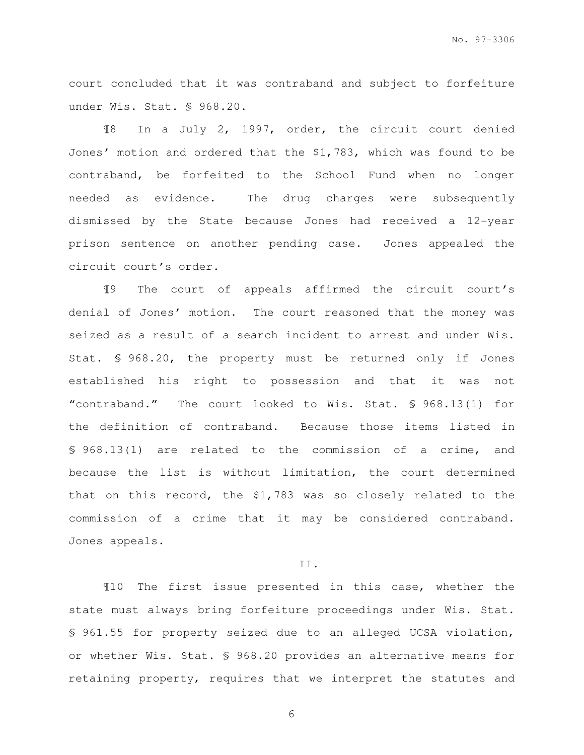court concluded that it was contraband and subject to forfeiture under Wis. Stat. § 968.20.

¶8 In a July 2, 1997, order, the circuit court denied Jones' motion and ordered that the \$1,783, which was found to be contraband, be forfeited to the School Fund when no longer needed as evidence. The drug charges were subsequently dismissed by the State because Jones had received a 12-year prison sentence on another pending case. Jones appealed the circuit court's order.

¶9 The court of appeals affirmed the circuit court's denial of Jones' motion. The court reasoned that the money was seized as a result of a search incident to arrest and under Wis. Stat. § 968.20, the property must be returned only if Jones established his right to possession and that it was not "contraband." The court looked to Wis. Stat. § 968.13(1) for the definition of contraband. Because those items listed in § 968.13(1) are related to the commission of a crime, and because the list is without limitation, the court determined that on this record, the \$1,783 was so closely related to the commission of a crime that it may be considered contraband. Jones appeals.

### II.

¶10 The first issue presented in this case, whether the state must always bring forfeiture proceedings under Wis. Stat. § 961.55 for property seized due to an alleged UCSA violation, or whether Wis. Stat. § 968.20 provides an alternative means for retaining property, requires that we interpret the statutes and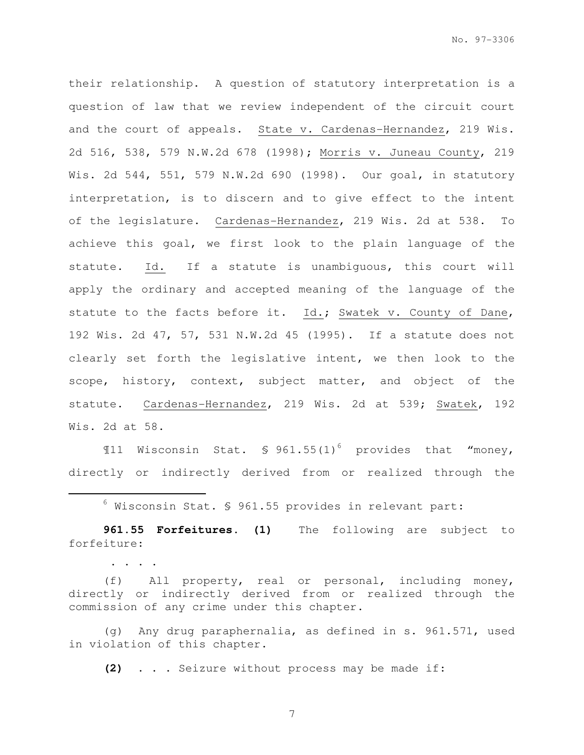their relationship. A question of statutory interpretation is a question of law that we review independent of the circuit court and the court of appeals. State v. Cardenas-Hernandez, 219 Wis. 2d 516, 538, 579 N.W.2d 678 (1998); Morris v. Juneau County, 219 Wis. 2d 544, 551, 579 N.W.2d 690 (1998). Our goal, in statutory interpretation, is to discern and to give effect to the intent of the legislature. Cardenas-Hernandez, 219 Wis. 2d at 538. To achieve this goal, we first look to the plain language of the statute. Id. If a statute is unambiguous, this court will apply the ordinary and accepted meaning of the language of the statute to the facts before it. Id.; Swatek v. County of Dane, 192 Wis. 2d 47, 57, 531 N.W.2d 45 (1995). If a statute does not clearly set forth the legislative intent, we then look to the scope, history, context, subject matter, and object of the statute. Cardenas-Hernandez, 219 Wis. 2d at 539; Swatek, 192 Wis. 2d at 58.

 $\text{N11}$  Wisconsin Stat. § 961.55(1)<sup>6</sup> provides that "money, directly or indirectly derived from or realized through the

 $^6$  Wisconsin Stat. § 961.55 provides in relevant part:

e<br>S

. . . .

**961.55 Forfeitures. (1)** The following are subject to forfeiture:

(f) All property, real or personal, including money, directly or indirectly derived from or realized through the commission of any crime under this chapter.

(g) Any drug paraphernalia, as defined in s. 961.571, used in violation of this chapter.

**(2)** . . . Seizure without process may be made if: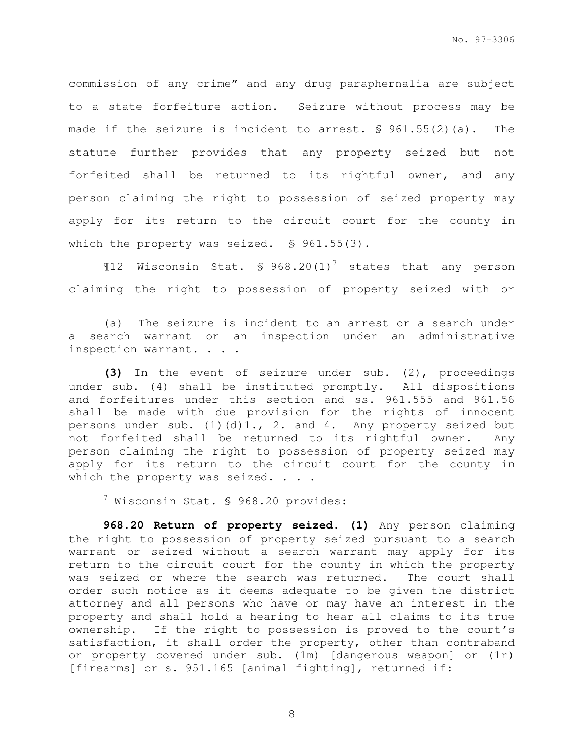commission of any crime" and any drug paraphernalia are subject to a state forfeiture action. Seizure without process may be made if the seizure is incident to arrest. § 961.55(2)(a). The statute further provides that any property seized but not forfeited shall be returned to its rightful owner, and any person claiming the right to possession of seized property may apply for its return to the circuit court for the county in which the property was seized. § 961.55(3).

 $$12$  Wisconsin Stat. § 968.20(1)<sup>7</sup> states that any person claiming the right to possession of property seized with or

(a) The seizure is incident to an arrest or a search under a search warrant or an inspection under an administrative inspection warrant. . . .

**(3)** In the event of seizure under sub. (2), proceedings under sub. (4) shall be instituted promptly. All dispositions and forfeitures under this section and ss. 961.555 and 961.56 shall be made with due provision for the rights of innocent persons under sub. (1)(d)1., 2. and 4. Any property seized but not forfeited shall be returned to its rightful owner. Any person claiming the right to possession of property seized may apply for its return to the circuit court for the county in which the property was seized. . . .

 $7$  Wisconsin Stat. § 968.20 provides:

e<br>S

**968.20 Return of property seized. (1)** Any person claiming the right to possession of property seized pursuant to a search warrant or seized without a search warrant may apply for its return to the circuit court for the county in which the property was seized or where the search was returned. The court shall order such notice as it deems adequate to be given the district attorney and all persons who have or may have an interest in the property and shall hold a hearing to hear all claims to its true ownership. If the right to possession is proved to the court's satisfaction, it shall order the property, other than contraband or property covered under sub. (1m) [dangerous weapon] or (1r) [firearms] or s. 951.165 [animal fighting], returned if: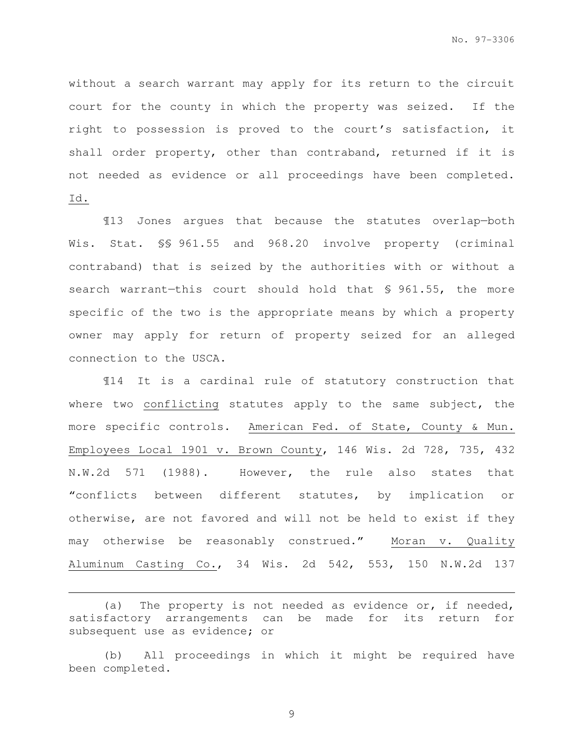without a search warrant may apply for its return to the circuit court for the county in which the property was seized. If the right to possession is proved to the court's satisfaction, it shall order property, other than contraband, returned if it is not needed as evidence or all proceedings have been completed. Id.

¶13 Jones argues that because the statutes overlap—both Wis. Stat. §§ 961.55 and 968.20 involve property (criminal contraband) that is seized by the authorities with or without a search warrant-this court should hold that § 961.55, the more specific of the two is the appropriate means by which a property owner may apply for return of property seized for an alleged connection to the USCA.

¶14 It is a cardinal rule of statutory construction that where two conflicting statutes apply to the same subject, the more specific controls. American Fed. of State, County & Mun. Employees Local 1901 v. Brown County, 146 Wis. 2d 728, 735, 432 N.W.2d 571 (1988). However, the rule also states that "conflicts between different statutes, by implication or otherwise, are not favored and will not be held to exist if they may otherwise be reasonably construed." Moran v. Quality Aluminum Casting Co., 34 Wis. 2d 542, 553, 150 N.W.2d 137

(a) The property is not needed as evidence or, if needed, satisfactory arrangements can be made for its return for subsequent use as evidence; or

e<br>S

(b) All proceedings in which it might be required have been completed.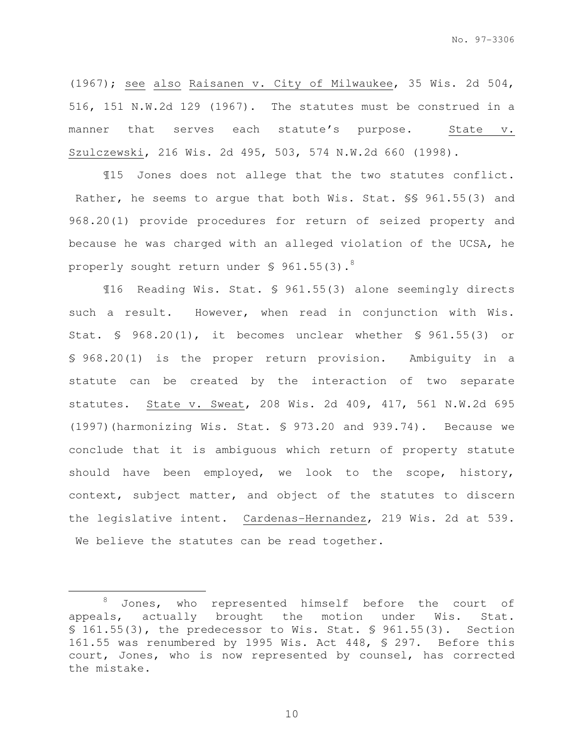(1967); see also Raisanen v. City of Milwaukee, 35 Wis. 2d 504, 516, 151 N.W.2d 129 (1967). The statutes must be construed in a manner that serves each statute's purpose. State v. Szulczewski, 216 Wis. 2d 495, 503, 574 N.W.2d 660 (1998).

¶15 Jones does not allege that the two statutes conflict. Rather, he seems to argue that both Wis. Stat. §§ 961.55(3) and 968.20(1) provide procedures for return of seized property and because he was charged with an alleged violation of the UCSA, he properly sought return under  $\sqrt{5}$  961.55(3).<sup>8</sup>

¶16 Reading Wis. Stat. § 961.55(3) alone seemingly directs such a result. However, when read in conjunction with Wis. Stat. § 968.20(1), it becomes unclear whether § 961.55(3) or § 968.20(1) is the proper return provision. Ambiguity in a statute can be created by the interaction of two separate statutes. State v. Sweat, 208 Wis. 2d 409, 417, 561 N.W.2d 695 (1997)(harmonizing Wis. Stat. § 973.20 and 939.74). Because we conclude that it is ambiguous which return of property statute should have been employed, we look to the scope, history, context, subject matter, and object of the statutes to discern the legislative intent. Cardenas-Hernandez, 219 Wis. 2d at 539. We believe the statutes can be read together.

e<br>S

<sup>&</sup>lt;sup>8</sup> Jones, who represented himself before the court of appeals, actually brought the motion under Wis. Stat. § 161.55(3), the predecessor to Wis. Stat. § 961.55(3). Section 161.55 was renumbered by 1995 Wis. Act 448, § 297. Before this court, Jones, who is now represented by counsel, has corrected the mistake.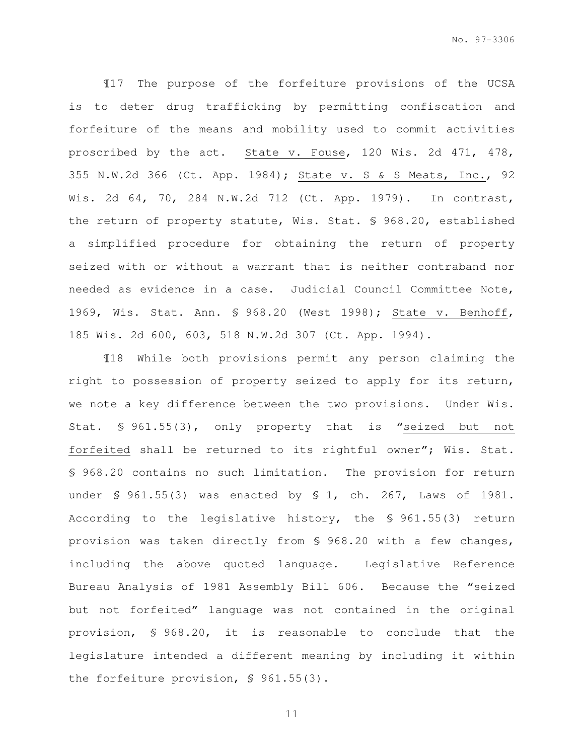¶17 The purpose of the forfeiture provisions of the UCSA is to deter drug trafficking by permitting confiscation and forfeiture of the means and mobility used to commit activities proscribed by the act. State v. Fouse, 120 Wis. 2d 471, 478, 355 N.W.2d 366 (Ct. App. 1984); State v. S & S Meats, Inc., 92 Wis. 2d 64, 70, 284 N.W.2d 712 (Ct. App. 1979). In contrast, the return of property statute, Wis. Stat. § 968.20, established a simplified procedure for obtaining the return of property seized with or without a warrant that is neither contraband nor needed as evidence in a case. Judicial Council Committee Note, 1969, Wis. Stat. Ann. § 968.20 (West 1998); State v. Benhoff, 185 Wis. 2d 600, 603, 518 N.W.2d 307 (Ct. App. 1994).

¶18 While both provisions permit any person claiming the right to possession of property seized to apply for its return, we note a key difference between the two provisions. Under Wis. Stat. § 961.55(3), only property that is "seized but not forfeited shall be returned to its rightful owner"; Wis. Stat. § 968.20 contains no such limitation. The provision for return under § 961.55(3) was enacted by § 1, ch. 267, Laws of 1981. According to the legislative history, the § 961.55(3) return provision was taken directly from § 968.20 with a few changes, including the above quoted language. Legislative Reference Bureau Analysis of 1981 Assembly Bill 606. Because the "seized but not forfeited" language was not contained in the original provision, § 968.20, it is reasonable to conclude that the legislature intended a different meaning by including it within the forfeiture provision, § 961.55(3).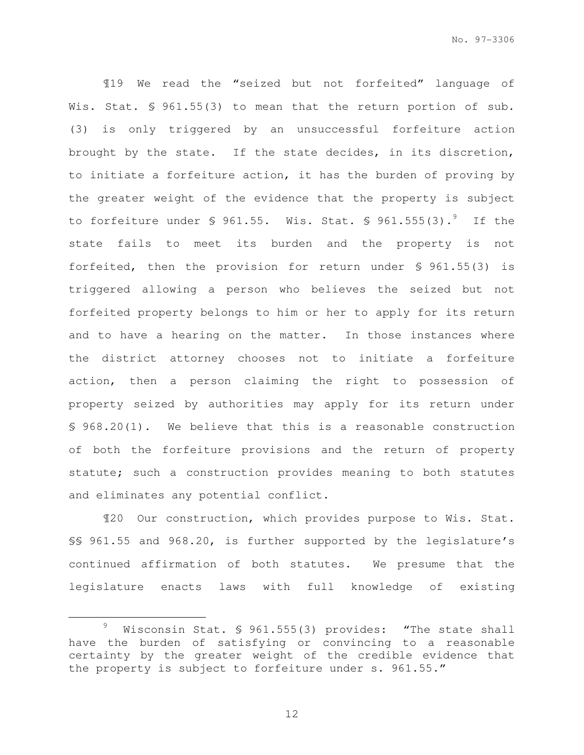¶19 We read the "seized but not forfeited" language of Wis. Stat. § 961.55(3) to mean that the return portion of sub. (3) is only triggered by an unsuccessful forfeiture action brought by the state. If the state decides, in its discretion, to initiate a forfeiture action, it has the burden of proving by the greater weight of the evidence that the property is subject to forfeiture under § 961.55. Wis. Stat. § 961.555(3).<sup>9</sup> If the state fails to meet its burden and the property is not forfeited, then the provision for return under § 961.55(3) is triggered allowing a person who believes the seized but not forfeited property belongs to him or her to apply for its return and to have a hearing on the matter. In those instances where the district attorney chooses not to initiate a forfeiture action, then a person claiming the right to possession of property seized by authorities may apply for its return under § 968.20(1). We believe that this is a reasonable construction of both the forfeiture provisions and the return of property statute; such a construction provides meaning to both statutes and eliminates any potential conflict.

¶20 Our construction, which provides purpose to Wis. Stat. §§ 961.55 and 968.20, is further supported by the legislature's continued affirmation of both statutes. We presume that the legislature enacts laws with full knowledge of existing

e<br>S

Wisconsin Stat. § 961.555(3) provides: "The state shall have the burden of satisfying or convincing to a reasonable certainty by the greater weight of the credible evidence that the property is subject to forfeiture under s. 961.55."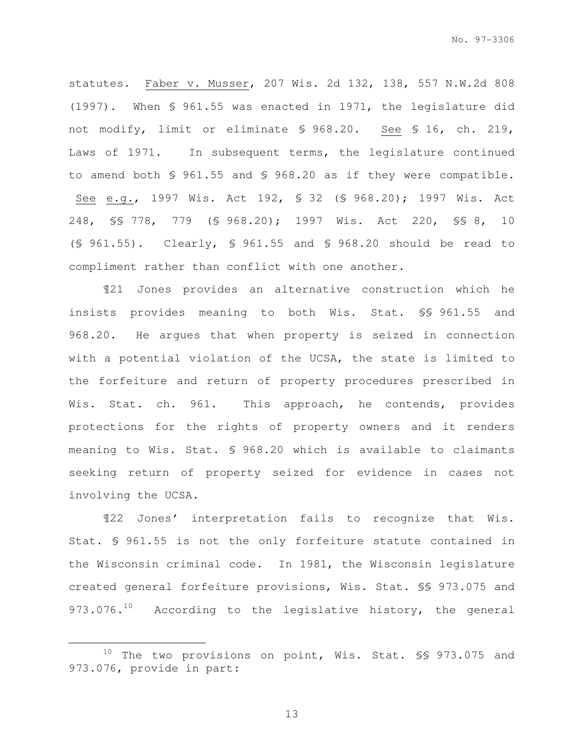statutes. Faber v. Musser, 207 Wis. 2d 132, 138, 557 N.W.2d 808 (1997). When § 961.55 was enacted in 1971, the legislature did not modify, limit or eliminate § 968.20. See § 16, ch. 219, Laws of 1971. In subsequent terms, the legislature continued to amend both § 961.55 and § 968.20 as if they were compatible. See e.g., 1997 Wis. Act 192, § 32 (§ 968.20); 1997 Wis. Act 248, §§ 778, 779 (§ 968.20); 1997 Wis. Act 220, §§ 8, 10 (§ 961.55). Clearly, § 961.55 and § 968.20 should be read to compliment rather than conflict with one another.

¶21 Jones provides an alternative construction which he insists provides meaning to both Wis. Stat. §§ 961.55 and 968.20. He argues that when property is seized in connection with a potential violation of the UCSA, the state is limited to the forfeiture and return of property procedures prescribed in Wis. Stat. ch. 961. This approach, he contends, provides protections for the rights of property owners and it renders meaning to Wis. Stat. § 968.20 which is available to claimants seeking return of property seized for evidence in cases not involving the UCSA.

¶22 Jones' interpretation fails to recognize that Wis. Stat. § 961.55 is not the only forfeiture statute contained in the Wisconsin criminal code. In 1981, the Wisconsin legislature created general forfeiture provisions, Wis. Stat. §§ 973.075 and 973.076. $^{10}$  According to the legislative history, the general

e<br>S

<sup>10</sup> The two provisions on point, Wis. Stat. \$\$ 973.075 and 973.076, provide in part: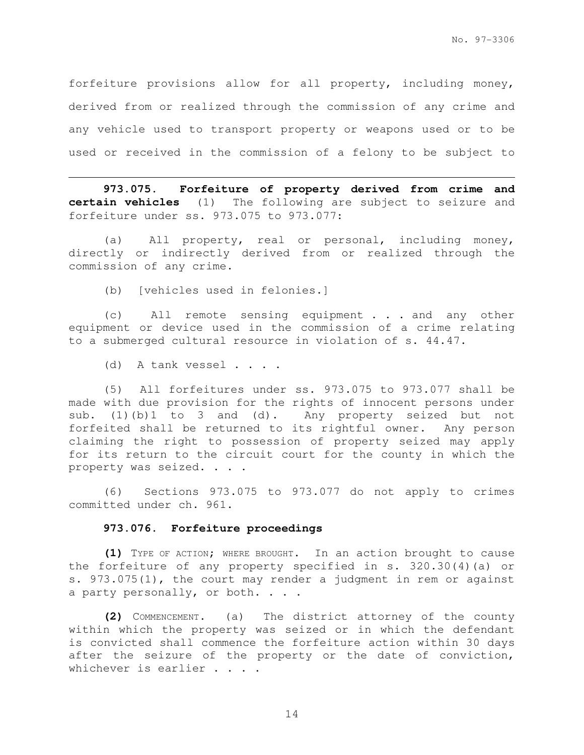forfeiture provisions allow for all property, including money, derived from or realized through the commission of any crime and any vehicle used to transport property or weapons used or to be used or received in the commission of a felony to be subject to

**973.075. Forfeiture of property derived from crime and certain vehicles** (1) The following are subject to seizure and forfeiture under ss. 973.075 to 973.077:

(a) All property, real or personal, including money, directly or indirectly derived from or realized through the commission of any crime.

(b) [vehicles used in felonies.]

(c) All remote sensing equipment . . . and any other equipment or device used in the commission of a crime relating to a submerged cultural resource in violation of s. 44.47.

(d) A tank vessel . . . .

e<br>S

(5) All forfeitures under ss. 973.075 to 973.077 shall be made with due provision for the rights of innocent persons under sub. (1)(b)1 to 3 and (d). Any property seized but not forfeited shall be returned to its rightful owner. Any person claiming the right to possession of property seized may apply for its return to the circuit court for the county in which the property was seized. . . .

(6) Sections 973.075 to 973.077 do not apply to crimes committed under ch. 961.

### **973.076. Forfeiture proceedings**

**(1)** TYPE OF ACTION; WHERE BROUGHT**.** In an action brought to cause the forfeiture of any property specified in s. 320.30(4)(a) or s. 973.075(1), the court may render a judgment in rem or against a party personally, or both. . . .

**(2)** COMMENCEMENT**.** (a) The district attorney of the county within which the property was seized or in which the defendant is convicted shall commence the forfeiture action within 30 days after the seizure of the property or the date of conviction, whichever is earlier . . . .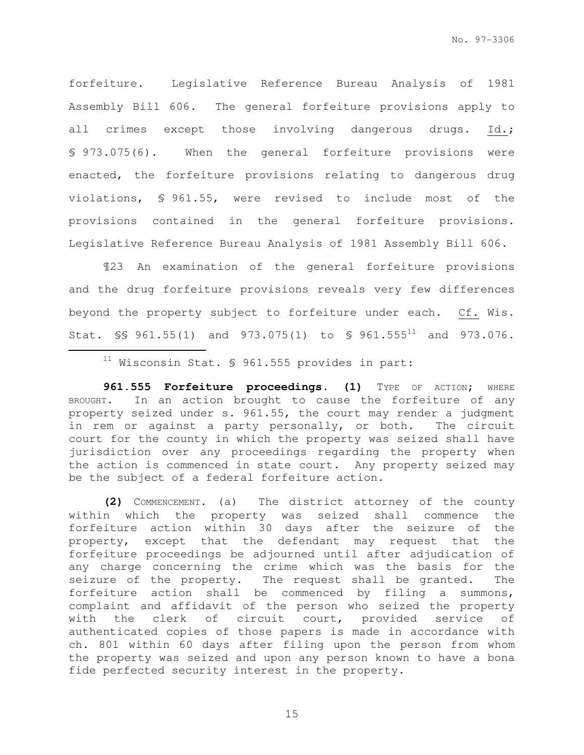forfeiture. Legislative Reference Bureau Analysis of 1981 Assembly Bill 606. The general forfeiture provisions apply to all crimes except those involving dangerous drugs. Id.; § 973.075(6). When the general forfeiture provisions were enacted, the forfeiture provisions relating to dangerous drug violations, § 961.55, were revised to include most of the provisions contained in the general forfeiture provisions. Legislative Reference Bureau Analysis of 1981 Assembly Bill 606.

¶23 An examination of the general forfeiture provisions and the drug forfeiture provisions reveals very few differences beyond the property subject to forfeiture under each. Cf. Wis. Stat.  $\S$ S 961.55(1) and 973.075(1) to  $\S$  961.555<sup>11</sup> and 973.076.

**961.555 Forfeiture proceedings. (1)** TYPE OF ACTION; WHERE BROUGHT. In an action brought to cause the forfeiture of any property seized under s. 961.55, the court may render a judgment in rem or against a party personally, or both. The circuit court for the county in which the property was seized shall have jurisdiction over any proceedings regarding the property when the action is commenced in state court. Any property seized may be the subject of a federal forfeiture action.

**(2)** COMMENCEMENT. (a) The district attorney of the county within which the property was seized shall commence the forfeiture action within 30 days after the seizure of the property, except that the defendant may request that the forfeiture proceedings be adjourned until after adjudication of any charge concerning the crime which was the basis for the seizure of the property. The request shall be granted. The forfeiture action shall be commenced by filing a summons, complaint and affidavit of the person who seized the property with the clerk of circuit court, provided service of authenticated copies of those papers is made in accordance with ch. 801 within 60 days after filing upon the person from whom the property was seized and upon any person known to have a bona fide perfected security interest in the property.

 $11$  Wisconsin Stat. § 961.555 provides in part: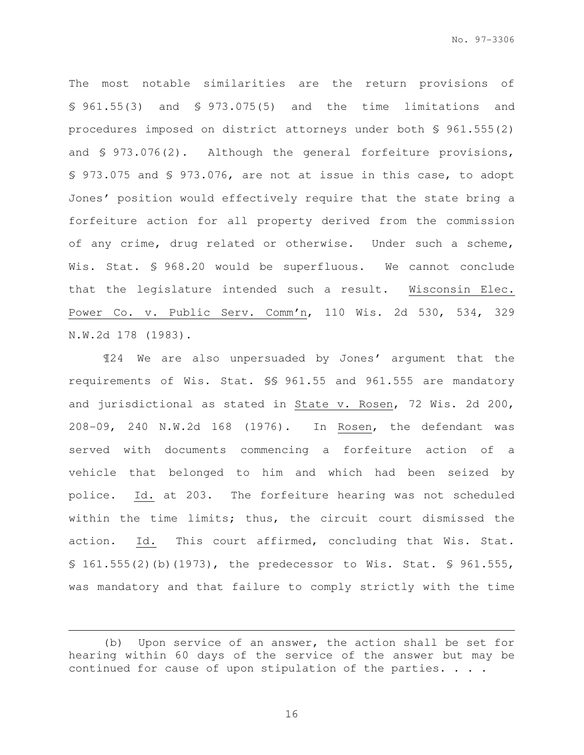The most notable similarities are the return provisions of § 961.55(3) and § 973.075(5) and the time limitations and procedures imposed on district attorneys under both § 961.555(2) and § 973.076(2). Although the general forfeiture provisions, § 973.075 and § 973.076, are not at issue in this case, to adopt Jones' position would effectively require that the state bring a forfeiture action for all property derived from the commission of any crime, drug related or otherwise. Under such a scheme, Wis. Stat. § 968.20 would be superfluous. We cannot conclude that the legislature intended such a result. Wisconsin Elec. Power Co. v. Public Serv. Comm'n, 110 Wis. 2d 530, 534, 329 N.W.2d 178 (1983).

¶24 We are also unpersuaded by Jones' argument that the requirements of Wis. Stat. §§ 961.55 and 961.555 are mandatory and jurisdictional as stated in State v. Rosen, 72 Wis. 2d 200, 208-09, 240 N.W.2d 168 (1976). In Rosen, the defendant was served with documents commencing a forfeiture action of a vehicle that belonged to him and which had been seized by police. Id. at 203. The forfeiture hearing was not scheduled within the time limits; thus, the circuit court dismissed the action. Id. This court affirmed, concluding that Wis. Stat. § 161.555(2)(b)(1973), the predecessor to Wis. Stat. § 961.555, was mandatory and that failure to comply strictly with the time

e<br>S

<sup>(</sup>b) Upon service of an answer, the action shall be set for hearing within 60 days of the service of the answer but may be continued for cause of upon stipulation of the parties. . . .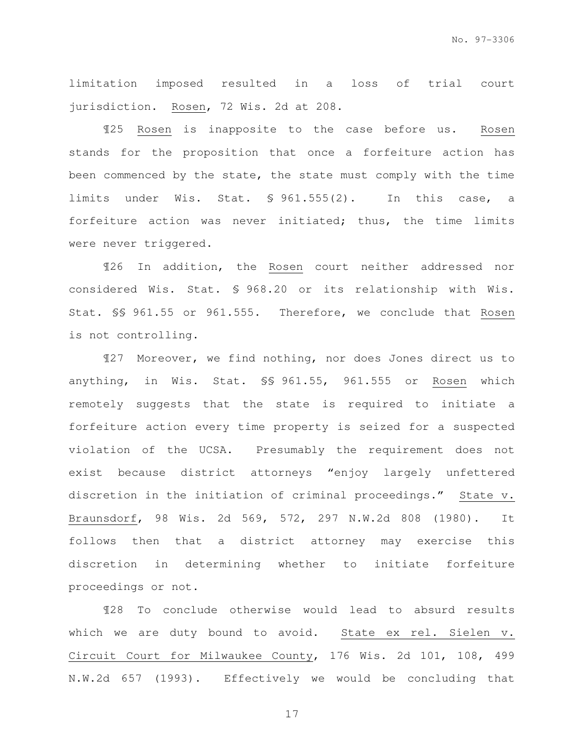limitation imposed resulted in a loss of trial court jurisdiction. Rosen, 72 Wis. 2d at 208.

¶25 Rosen is inapposite to the case before us. Rosen stands for the proposition that once a forfeiture action has been commenced by the state, the state must comply with the time limits under Wis. Stat. § 961.555(2). In this case, a forfeiture action was never initiated; thus, the time limits were never triggered.

¶26 In addition, the Rosen court neither addressed nor considered Wis. Stat. § 968.20 or its relationship with Wis. Stat. §§ 961.55 or 961.555. Therefore, we conclude that Rosen is not controlling.

¶27 Moreover, we find nothing, nor does Jones direct us to anything, in Wis. Stat. §§ 961.55, 961.555 or Rosen which remotely suggests that the state is required to initiate a forfeiture action every time property is seized for a suspected violation of the UCSA. Presumably the requirement does not exist because district attorneys "enjoy largely unfettered discretion in the initiation of criminal proceedings." State v. Braunsdorf, 98 Wis. 2d 569, 572, 297 N.W.2d 808 (1980). It follows then that a district attorney may exercise this discretion in determining whether to initiate forfeiture proceedings or not.

¶28 To conclude otherwise would lead to absurd results which we are duty bound to avoid. State ex rel. Sielen v. Circuit Court for Milwaukee County, 176 Wis. 2d 101, 108, 499 N.W.2d 657 (1993). Effectively we would be concluding that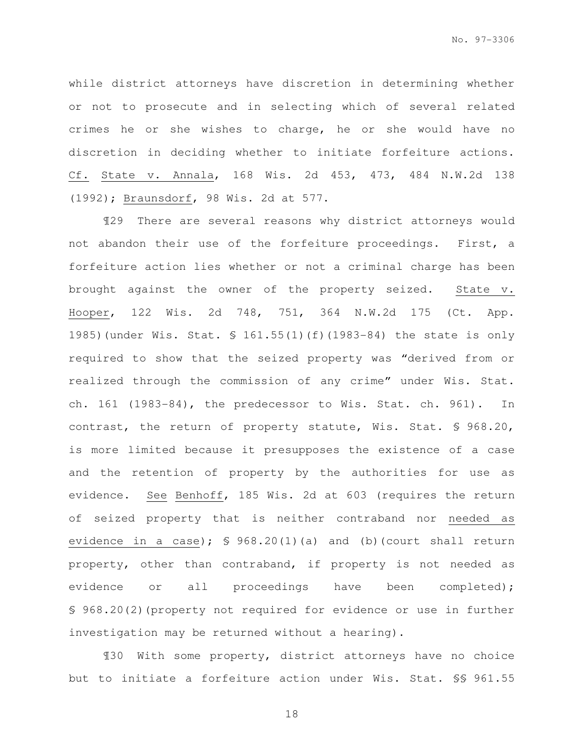while district attorneys have discretion in determining whether or not to prosecute and in selecting which of several related crimes he or she wishes to charge, he or she would have no discretion in deciding whether to initiate forfeiture actions. Cf. State v. Annala, 168 Wis. 2d 453, 473, 484 N.W.2d 138 (1992); Braunsdorf, 98 Wis. 2d at 577.

¶29 There are several reasons why district attorneys would not abandon their use of the forfeiture proceedings. First, a forfeiture action lies whether or not a criminal charge has been brought against the owner of the property seized. State v. Hooper, 122 Wis. 2d 748, 751, 364 N.W.2d 175 (Ct. App. 1985)(under Wis. Stat. § 161.55(1)(f)(1983-84) the state is only required to show that the seized property was "derived from or realized through the commission of any crime" under Wis. Stat. ch. 161 (1983-84), the predecessor to Wis. Stat. ch. 961). In contrast, the return of property statute, Wis. Stat. § 968.20, is more limited because it presupposes the existence of a case and the retention of property by the authorities for use as evidence. See Benhoff, 185 Wis. 2d at 603 (requires the return of seized property that is neither contraband nor needed as evidence in a case);  $\frac{1}{5}$  968.20(1)(a) and (b)(court shall return property, other than contraband, if property is not needed as evidence or all proceedings have been completed); § 968.20(2)(property not required for evidence or use in further investigation may be returned without a hearing).

¶30 With some property, district attorneys have no choice but to initiate a forfeiture action under Wis. Stat. §§ 961.55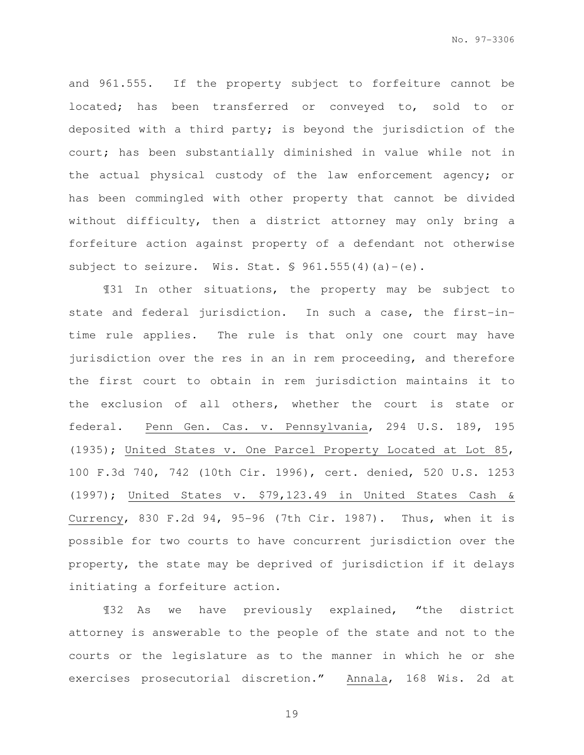and 961.555. If the property subject to forfeiture cannot be located; has been transferred or conveyed to, sold to or deposited with a third party; is beyond the jurisdiction of the court; has been substantially diminished in value while not in the actual physical custody of the law enforcement agency; or has been commingled with other property that cannot be divided without difficulty, then a district attorney may only bring a forfeiture action against property of a defendant not otherwise subject to seizure. Wis. Stat.  $\frac{1}{5}$  961.555(4)(a)-(e).

¶31 In other situations, the property may be subject to state and federal jurisdiction. In such a case, the first-intime rule applies. The rule is that only one court may have jurisdiction over the res in an in rem proceeding, and therefore the first court to obtain in rem jurisdiction maintains it to the exclusion of all others, whether the court is state or federal. Penn Gen. Cas. v. Pennsylvania, 294 U.S. 189, 195 (1935); United States v. One Parcel Property Located at Lot 85, 100 F.3d 740, 742 (10th Cir. 1996), cert. denied, 520 U.S. 1253 (1997); United States v. \$79,123.49 in United States Cash & Currency, 830 F.2d 94, 95-96 (7th Cir. 1987). Thus, when it is possible for two courts to have concurrent jurisdiction over the property, the state may be deprived of jurisdiction if it delays initiating a forfeiture action.

¶32 As we have previously explained, "the district attorney is answerable to the people of the state and not to the courts or the legislature as to the manner in which he or she exercises prosecutorial discretion." Annala, 168 Wis. 2d at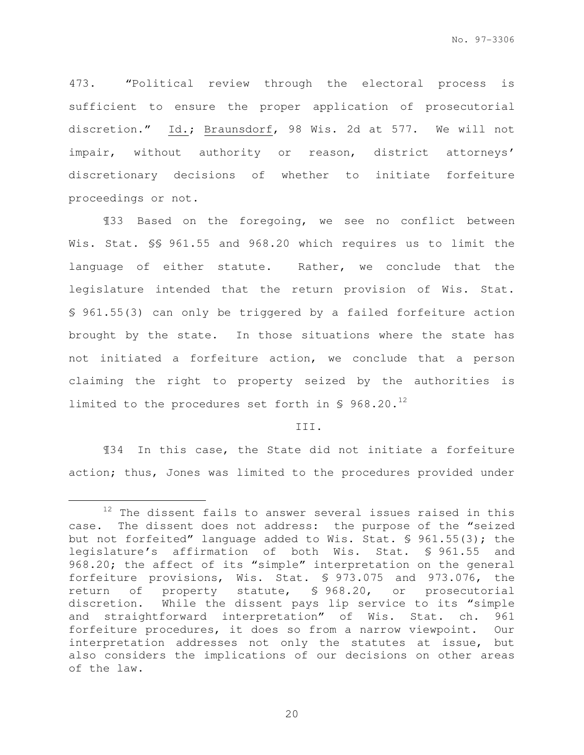473. "Political review through the electoral process is sufficient to ensure the proper application of prosecutorial discretion." Id.; Braunsdorf, 98 Wis. 2d at 577. We will not impair, without authority or reason, district attorneys' discretionary decisions of whether to initiate forfeiture proceedings or not.

¶33 Based on the foregoing, we see no conflict between Wis. Stat. §§ 961.55 and 968.20 which requires us to limit the language of either statute. Rather, we conclude that the legislature intended that the return provision of Wis. Stat. § 961.55(3) can only be triggered by a failed forfeiture action brought by the state. In those situations where the state has not initiated a forfeiture action, we conclude that a person claiming the right to property seized by the authorities is limited to the procedures set forth in  $\sqrt{5}$  968.20.<sup>12</sup>

## III.

¶34 In this case, the State did not initiate a forfeiture action; thus, Jones was limited to the procedures provided under

 $12$  The dissent fails to answer several issues raised in this case. The dissent does not address: the purpose of the "seized but not forfeited" language added to Wis. Stat. § 961.55(3); the legislature's affirmation of both Wis. Stat. § 961.55 and 968.20; the affect of its "simple" interpretation on the general forfeiture provisions, Wis. Stat. § 973.075 and 973.076, the return of property statute, § 968.20, or prosecutorial discretion. While the dissent pays lip service to its "simple and straightforward interpretation" of Wis. Stat. ch. 961 forfeiture procedures, it does so from a narrow viewpoint. Our interpretation addresses not only the statutes at issue, but also considers the implications of our decisions on other areas of the law.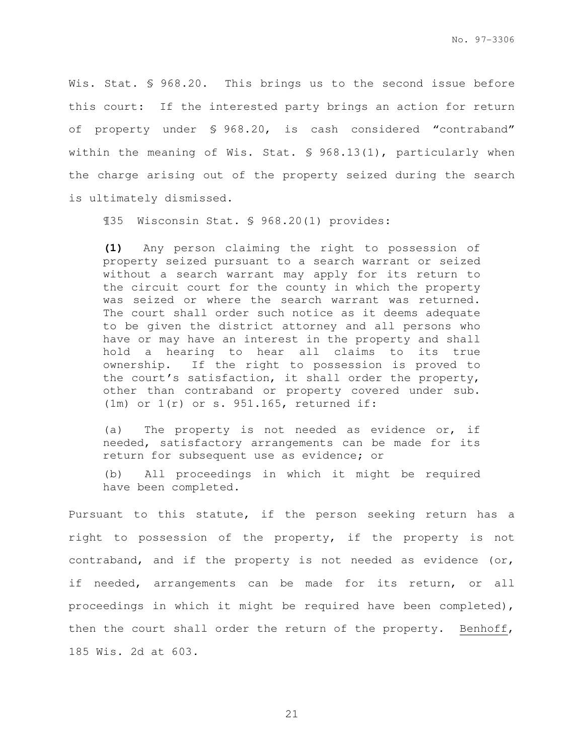Wis. Stat. § 968.20. This brings us to the second issue before this court: If the interested party brings an action for return of property under § 968.20, is cash considered "contraband" within the meaning of Wis. Stat. § 968.13(1), particularly when the charge arising out of the property seized during the search is ultimately dismissed.

¶35 Wisconsin Stat. § 968.20(1) provides:

**(1)** Any person claiming the right to possession of property seized pursuant to a search warrant or seized without a search warrant may apply for its return to the circuit court for the county in which the property was seized or where the search warrant was returned. The court shall order such notice as it deems adequate to be given the district attorney and all persons who have or may have an interest in the property and shall hold a hearing to hear all claims to its true ownership. If the right to possession is proved to the court's satisfaction, it shall order the property, other than contraband or property covered under sub. (1m) or 1(r) or s. 951.165, returned if:

(a) The property is not needed as evidence or, if needed, satisfactory arrangements can be made for its return for subsequent use as evidence; or

(b) All proceedings in which it might be required have been completed.

Pursuant to this statute, if the person seeking return has a right to possession of the property, if the property is not contraband, and if the property is not needed as evidence (or, if needed, arrangements can be made for its return, or all proceedings in which it might be required have been completed), then the court shall order the return of the property. Benhoff, 185 Wis. 2d at 603.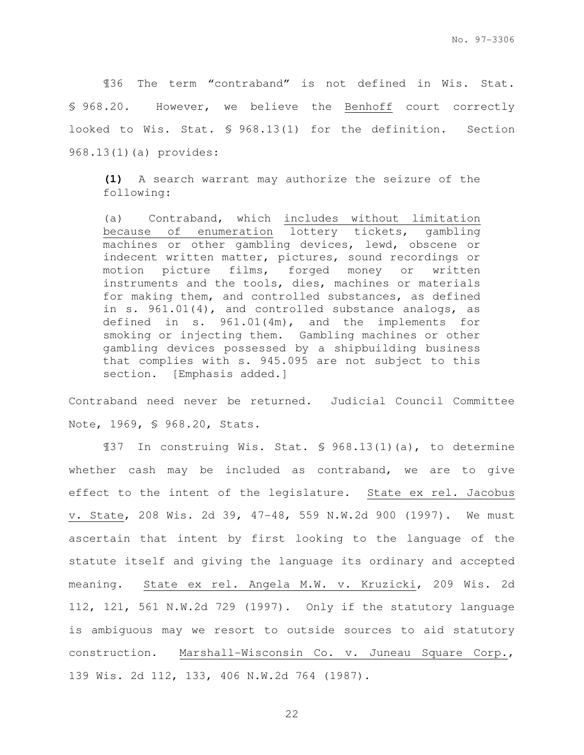¶36 The term "contraband" is not defined in Wis. Stat. § 968.20. However, we believe the Benhoff court correctly looked to Wis. Stat. § 968.13(1) for the definition. Section 968.13(1)(a) provides:

**(1)** A search warrant may authorize the seizure of the following:

(a) Contraband, which includes without limitation because of enumeration lottery tickets, gambling machines or other gambling devices, lewd, obscene or indecent written matter, pictures, sound recordings or motion picture films, forged money or written instruments and the tools, dies, machines or materials for making them, and controlled substances, as defined in s. 961.01(4), and controlled substance analogs, as defined in s. 961.01(4m), and the implements for smoking or injecting them. Gambling machines or other gambling devices possessed by a shipbuilding business that complies with s. 945.095 are not subject to this section. [Emphasis added.]

Contraband need never be returned. Judicial Council Committee Note, 1969, § 968.20, Stats.

¶37 In construing Wis. Stat. § 968.13(1)(a), to determine whether cash may be included as contraband, we are to give effect to the intent of the legislature. State ex rel. Jacobus v. State, 208 Wis. 2d 39, 47-48, 559 N.W.2d 900 (1997). We must ascertain that intent by first looking to the language of the statute itself and giving the language its ordinary and accepted meaning. State ex rel. Angela M.W. v. Kruzicki, 209 Wis. 2d 112, 121, 561 N.W.2d 729 (1997). Only if the statutory language is ambiguous may we resort to outside sources to aid statutory construction. Marshall-Wisconsin Co. v. Juneau Square Corp., 139 Wis. 2d 112, 133, 406 N.W.2d 764 (1987).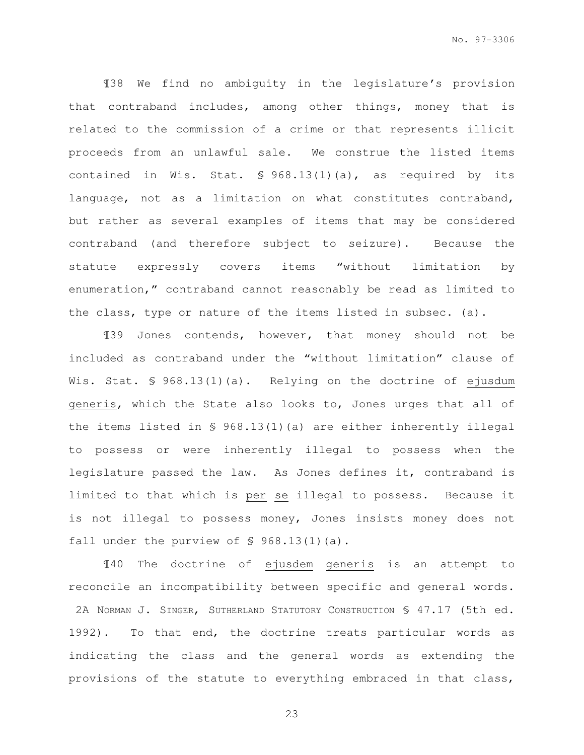¶38 We find no ambiguity in the legislature's provision that contraband includes, among other things, money that is related to the commission of a crime or that represents illicit proceeds from an unlawful sale. We construe the listed items contained in Wis. Stat. § 968.13(1)(a), as required by its language, not as a limitation on what constitutes contraband, but rather as several examples of items that may be considered contraband (and therefore subject to seizure). Because the statute expressly covers items "without limitation by enumeration," contraband cannot reasonably be read as limited to the class, type or nature of the items listed in subsec. (a).

¶39 Jones contends, however, that money should not be included as contraband under the "without limitation" clause of Wis. Stat. § 968.13(1)(a). Relying on the doctrine of ejusdum generis, which the State also looks to, Jones urges that all of the items listed in § 968.13(1)(a) are either inherently illegal to possess or were inherently illegal to possess when the legislature passed the law. As Jones defines it, contraband is limited to that which is per se illegal to possess. Because it is not illegal to possess money, Jones insists money does not fall under the purview of § 968.13(1)(a).

¶40 The doctrine of ejusdem generis is an attempt to reconcile an incompatibility between specific and general words. 2A NORMAN J. SINGER, SUTHERLAND STATUTORY CONSTRUCTION § 47.17 (5th ed. 1992). To that end, the doctrine treats particular words as indicating the class and the general words as extending the provisions of the statute to everything embraced in that class,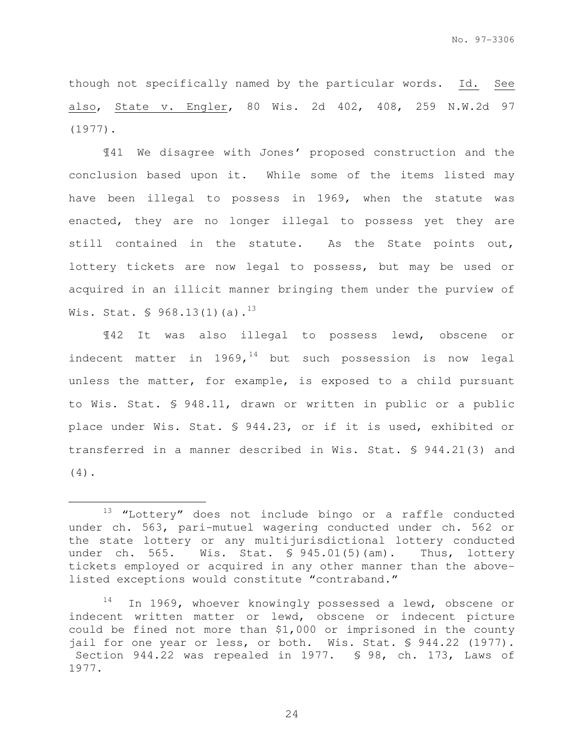though not specifically named by the particular words. Id. See also, State v. Engler, 80 Wis. 2d 402, 408, 259 N.W.2d 97 (1977).

¶41 We disagree with Jones' proposed construction and the conclusion based upon it. While some of the items listed may have been illegal to possess in 1969, when the statute was enacted, they are no longer illegal to possess yet they are still contained in the statute. As the State points out, lottery tickets are now legal to possess, but may be used or acquired in an illicit manner bringing them under the purview of Wis. Stat.  $\frac{6}{5}$  968.13(1)(a).<sup>13</sup>

¶42 It was also illegal to possess lewd, obscene or indecent matter in  $1969<sub>r</sub>^{14}$  but such possession is now legal unless the matter, for example, is exposed to a child pursuant to Wis. Stat. § 948.11, drawn or written in public or a public place under Wis. Stat. § 944.23, or if it is used, exhibited or transferred in a manner described in Wis. Stat. § 944.21(3) and (4).

e<br>S

 $13$  "Lottery" does not include bingo or a raffle conducted under ch. 563, pari-mutuel wagering conducted under ch. 562 or the state lottery or any multijurisdictional lottery conducted under ch. 565. Wis. Stat. § 945.01(5)(am). Thus, lottery tickets employed or acquired in any other manner than the abovelisted exceptions would constitute "contraband."

<sup>&</sup>lt;sup>14</sup> In 1969, whoever knowingly possessed a lewd, obscene or indecent written matter or lewd, obscene or indecent picture could be fined not more than \$1,000 or imprisoned in the county jail for one year or less, or both. Wis. Stat. § 944.22 (1977). Section 944.22 was repealed in 1977. § 98, ch. 173, Laws of 1977.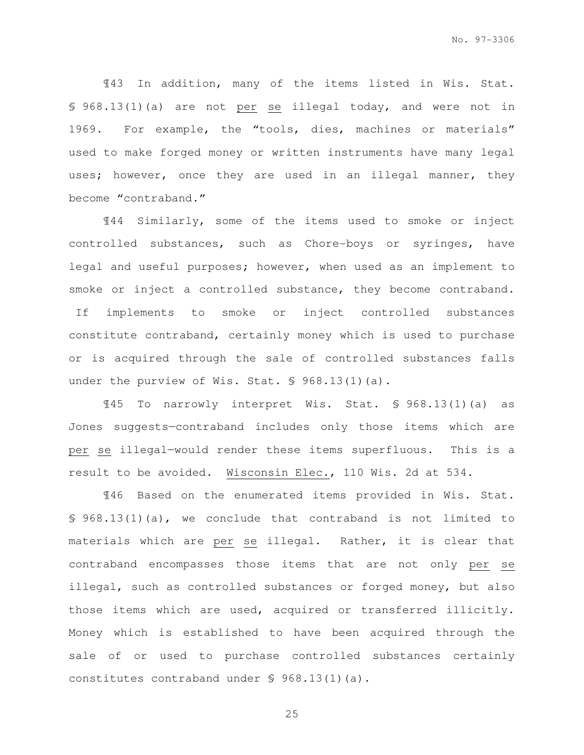¶43 In addition, many of the items listed in Wis. Stat. § 968.13(1)(a) are not per se illegal today, and were not in 1969. For example, the "tools, dies, machines or materials" used to make forged money or written instruments have many legal uses; however, once they are used in an illegal manner, they become "contraband."

¶44 Similarly, some of the items used to smoke or inject controlled substances, such as Chore-boys or syringes, have legal and useful purposes; however, when used as an implement to smoke or inject a controlled substance, they become contraband. If implements to smoke or inject controlled substances constitute contraband, certainly money which is used to purchase or is acquired through the sale of controlled substances falls under the purview of Wis. Stat. § 968.13(1)(a).

¶45 To narrowly interpret Wis. Stat. § 968.13(1)(a) as Jones suggests—contraband includes only those items which are per se illegal—would render these items superfluous. This is a result to be avoided. Wisconsin Elec., 110 Wis. 2d at 534.

¶46 Based on the enumerated items provided in Wis. Stat. § 968.13(1)(a), we conclude that contraband is not limited to materials which are per se illegal. Rather, it is clear that contraband encompasses those items that are not only per se illegal, such as controlled substances or forged money, but also those items which are used, acquired or transferred illicitly. Money which is established to have been acquired through the sale of or used to purchase controlled substances certainly constitutes contraband under § 968.13(1)(a).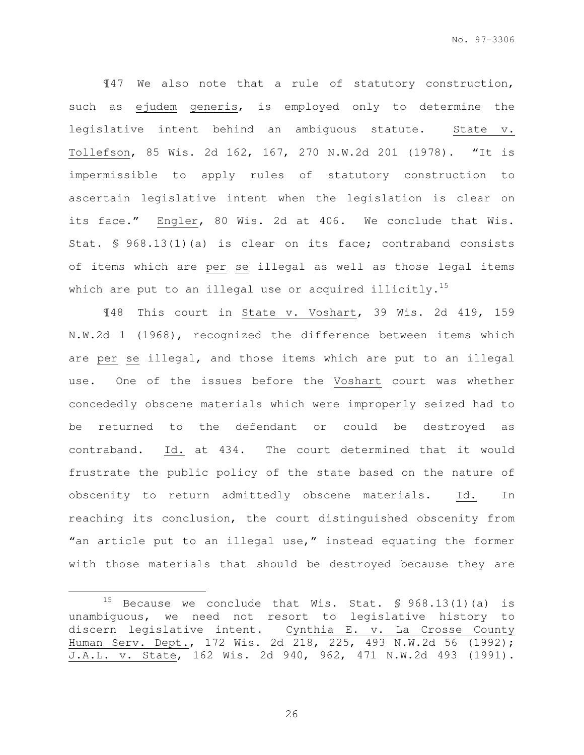¶47 We also note that a rule of statutory construction, such as ejudem generis, is employed only to determine the legislative intent behind an ambiguous statute. State v. Tollefson, 85 Wis. 2d 162, 167, 270 N.W.2d 201 (1978). "It is impermissible to apply rules of statutory construction to ascertain legislative intent when the legislation is clear on its face." Engler, 80 Wis. 2d at 406. We conclude that Wis. Stat. § 968.13(1)(a) is clear on its face; contraband consists of items which are per se illegal as well as those legal items which are put to an illegal use or acquired illicitly.<sup>15</sup>

¶48 This court in State v. Voshart, 39 Wis. 2d 419, 159 N.W.2d 1 (1968), recognized the difference between items which are per se illegal, and those items which are put to an illegal use. One of the issues before the Voshart court was whether concededly obscene materials which were improperly seized had to be returned to the defendant or could be destroyed as contraband. Id. at 434. The court determined that it would frustrate the public policy of the state based on the nature of obscenity to return admittedly obscene materials. Id. In reaching its conclusion, the court distinguished obscenity from "an article put to an illegal use," instead equating the former with those materials that should be destroyed because they are

e<br>S

<sup>&</sup>lt;sup>15</sup> Because we conclude that Wis. Stat.  $\frac{15}{968.13(1)(a)}$  is unambiguous, we need not resort to legislative history to discern legislative intent. Cynthia E. v. La Crosse County Human Serv. Dept., 172 Wis. 2d 218, 225, 493 N.W.2d 56 (1992); J.A.L. v. State, 162 Wis. 2d 940, 962, 471 N.W.2d 493 (1991).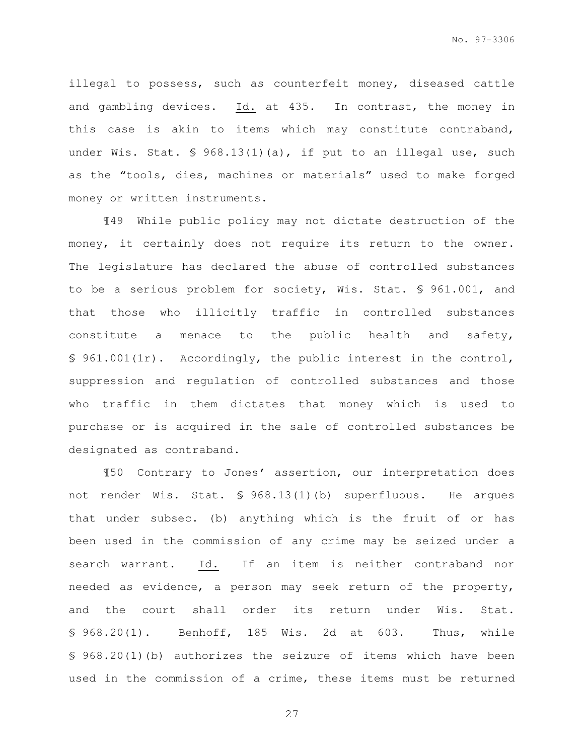illegal to possess, such as counterfeit money, diseased cattle and gambling devices. Id. at 435. In contrast, the money in this case is akin to items which may constitute contraband, under Wis. Stat. § 968.13(1)(a), if put to an illegal use, such as the "tools, dies, machines or materials" used to make forged money or written instruments.

¶49 While public policy may not dictate destruction of the money, it certainly does not require its return to the owner. The legislature has declared the abuse of controlled substances to be a serious problem for society, Wis. Stat. § 961.001, and that those who illicitly traffic in controlled substances constitute a menace to the public health and safety, § 961.001(1r). Accordingly, the public interest in the control, suppression and regulation of controlled substances and those who traffic in them dictates that money which is used to purchase or is acquired in the sale of controlled substances be designated as contraband.

¶50 Contrary to Jones' assertion, our interpretation does not render Wis. Stat. § 968.13(1)(b) superfluous. He argues that under subsec. (b) anything which is the fruit of or has been used in the commission of any crime may be seized under a search warrant. Id. If an item is neither contraband nor needed as evidence, a person may seek return of the property, and the court shall order its return under Wis. Stat. § 968.20(1). Benhoff, 185 Wis. 2d at 603. Thus, while § 968.20(1)(b) authorizes the seizure of items which have been used in the commission of a crime, these items must be returned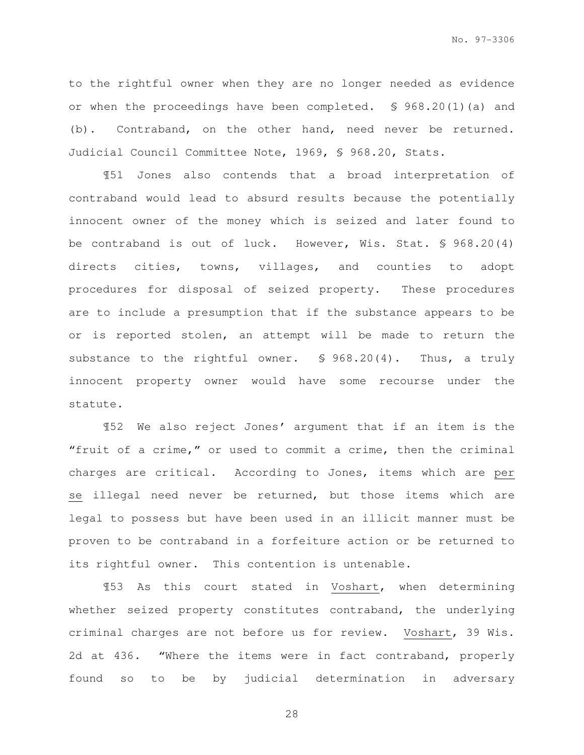to the rightful owner when they are no longer needed as evidence or when the proceedings have been completed. § 968.20(1)(a) and (b). Contraband, on the other hand, need never be returned. Judicial Council Committee Note, 1969, § 968.20, Stats.

¶51 Jones also contends that a broad interpretation of contraband would lead to absurd results because the potentially innocent owner of the money which is seized and later found to be contraband is out of luck. However, Wis. Stat. § 968.20(4) directs cities, towns, villages, and counties to adopt procedures for disposal of seized property. These procedures are to include a presumption that if the substance appears to be or is reported stolen, an attempt will be made to return the substance to the rightful owner. § 968.20(4). Thus, a truly innocent property owner would have some recourse under the statute.

¶52 We also reject Jones' argument that if an item is the "fruit of a crime," or used to commit a crime, then the criminal charges are critical. According to Jones, items which are per se illegal need never be returned, but those items which are legal to possess but have been used in an illicit manner must be proven to be contraband in a forfeiture action or be returned to its rightful owner. This contention is untenable.

¶53 As this court stated in Voshart, when determining whether seized property constitutes contraband, the underlying criminal charges are not before us for review. Voshart, 39 Wis. 2d at 436. "Where the items were in fact contraband, properly found so to be by judicial determination in adversary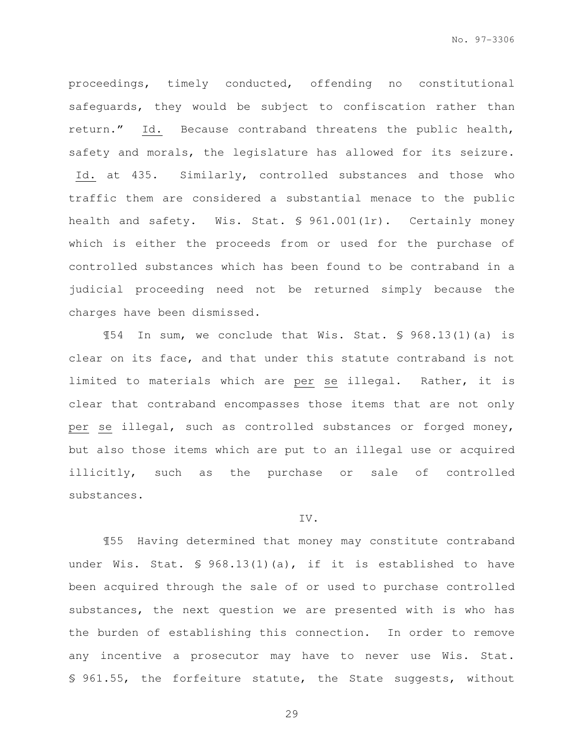proceedings, timely conducted, offending no constitutional safeguards, they would be subject to confiscation rather than return." Id. Because contraband threatens the public health, safety and morals, the legislature has allowed for its seizure. Id. at 435. Similarly, controlled substances and those who traffic them are considered a substantial menace to the public health and safety. Wis. Stat. § 961.001(1r). Certainly money which is either the proceeds from or used for the purchase of controlled substances which has been found to be contraband in a judicial proceeding need not be returned simply because the charges have been dismissed.

¶54 In sum, we conclude that Wis. Stat. § 968.13(1)(a) is clear on its face, and that under this statute contraband is not limited to materials which are per se illegal. Rather, it is clear that contraband encompasses those items that are not only per se illegal, such as controlled substances or forged money, but also those items which are put to an illegal use or acquired illicitly, such as the purchase or sale of controlled substances.

## IV.

¶55 Having determined that money may constitute contraband under Wis. Stat. § 968.13(1)(a), if it is established to have been acquired through the sale of or used to purchase controlled substances, the next question we are presented with is who has the burden of establishing this connection. In order to remove any incentive a prosecutor may have to never use Wis. Stat. § 961.55, the forfeiture statute, the State suggests, without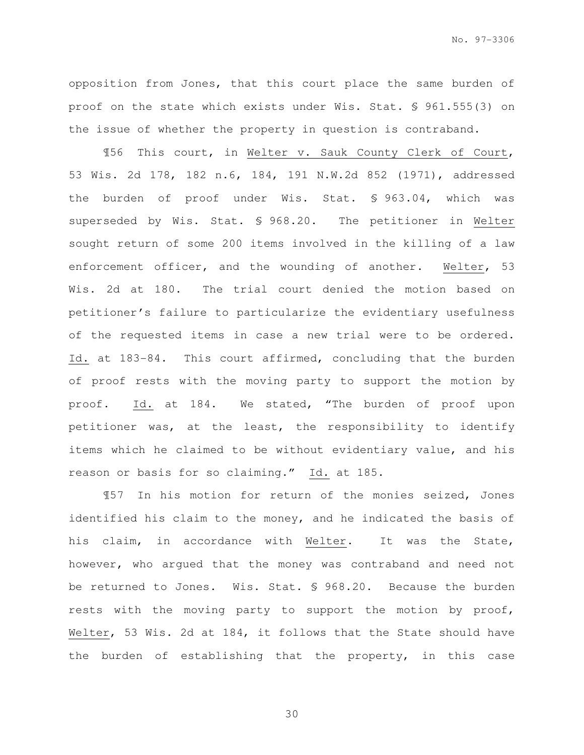opposition from Jones, that this court place the same burden of proof on the state which exists under Wis. Stat. § 961.555(3) on the issue of whether the property in question is contraband.

¶56 This court, in Welter v. Sauk County Clerk of Court, 53 Wis. 2d 178, 182 n.6, 184, 191 N.W.2d 852 (1971), addressed the burden of proof under Wis. Stat. § 963.04, which was superseded by Wis. Stat. § 968.20. The petitioner in Welter sought return of some 200 items involved in the killing of a law enforcement officer, and the wounding of another. Welter, 53 Wis. 2d at 180. The trial court denied the motion based on petitioner's failure to particularize the evidentiary usefulness of the requested items in case a new trial were to be ordered. Id. at 183-84. This court affirmed, concluding that the burden of proof rests with the moving party to support the motion by proof. Id. at 184. We stated, "The burden of proof upon petitioner was, at the least, the responsibility to identify items which he claimed to be without evidentiary value, and his reason or basis for so claiming." Id. at 185.

¶57 In his motion for return of the monies seized, Jones identified his claim to the money, and he indicated the basis of his claim, in accordance with Welter. It was the State, however, who argued that the money was contraband and need not be returned to Jones. Wis. Stat. § 968.20. Because the burden rests with the moving party to support the motion by proof, Welter, 53 Wis. 2d at 184, it follows that the State should have the burden of establishing that the property, in this case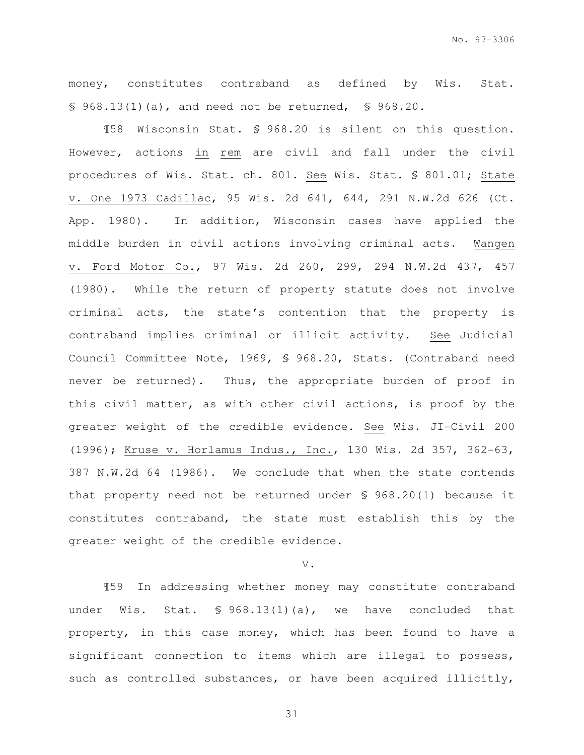money, constitutes contraband as defined by Wis. Stat. § 968.13(1)(a), and need not be returned, § 968.20.

¶58 Wisconsin Stat. § 968.20 is silent on this question. However, actions in rem are civil and fall under the civil procedures of Wis. Stat. ch. 801. See Wis. Stat. § 801.01; State v. One 1973 Cadillac, 95 Wis. 2d 641, 644, 291 N.W.2d 626 (Ct. App. 1980). In addition, Wisconsin cases have applied the middle burden in civil actions involving criminal acts. Wangen v. Ford Motor Co., 97 Wis. 2d 260, 299, 294 N.W.2d 437, 457 (1980). While the return of property statute does not involve criminal acts, the state's contention that the property is contraband implies criminal or illicit activity. See Judicial Council Committee Note, 1969, § 968.20, Stats. (Contraband need never be returned). Thus, the appropriate burden of proof in this civil matter, as with other civil actions, is proof by the greater weight of the credible evidence. See Wis. JI-Civil 200 (1996); Kruse v. Horlamus Indus., Inc., 130 Wis. 2d 357, 362-63, 387 N.W.2d 64 (1986). We conclude that when the state contends that property need not be returned under § 968.20(1) because it constitutes contraband, the state must establish this by the greater weight of the credible evidence.

#### V.

¶59 In addressing whether money may constitute contraband under Wis. Stat. § 968.13(1)(a), we have concluded that property, in this case money, which has been found to have a significant connection to items which are illegal to possess, such as controlled substances, or have been acquired illicitly,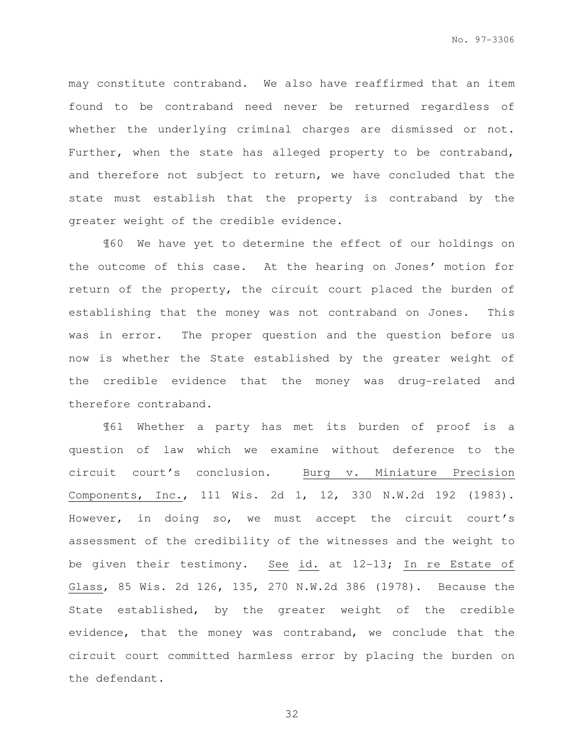may constitute contraband. We also have reaffirmed that an item found to be contraband need never be returned regardless of whether the underlying criminal charges are dismissed or not. Further, when the state has alleged property to be contraband, and therefore not subject to return, we have concluded that the state must establish that the property is contraband by the greater weight of the credible evidence.

¶60 We have yet to determine the effect of our holdings on the outcome of this case. At the hearing on Jones' motion for return of the property, the circuit court placed the burden of establishing that the money was not contraband on Jones. This was in error. The proper question and the question before us now is whether the State established by the greater weight of the credible evidence that the money was drug-related and therefore contraband.

¶61 Whether a party has met its burden of proof is a question of law which we examine without deference to the circuit court's conclusion. Burg v. Miniature Precision Components, Inc., 111 Wis. 2d 1, 12, 330 N.W.2d 192 (1983). However, in doing so, we must accept the circuit court's assessment of the credibility of the witnesses and the weight to be given their testimony. See id. at 12-13; In re Estate of Glass, 85 Wis. 2d 126, 135, 270 N.W.2d 386 (1978). Because the State established, by the greater weight of the credible evidence, that the money was contraband, we conclude that the circuit court committed harmless error by placing the burden on the defendant.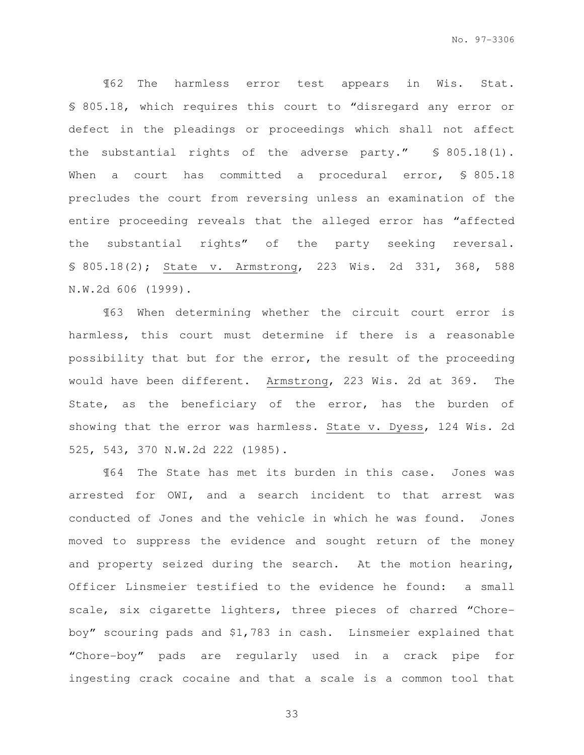¶62 The harmless error test appears in Wis. Stat. § 805.18, which requires this court to "disregard any error or defect in the pleadings or proceedings which shall not affect the substantial rights of the adverse party." § 805.18(1). When a court has committed a procedural error, \$805.18 precludes the court from reversing unless an examination of the entire proceeding reveals that the alleged error has "affected the substantial rights" of the party seeking reversal. § 805.18(2); State v. Armstrong, 223 Wis. 2d 331, 368, 588 N.W.2d 606 (1999).

¶63 When determining whether the circuit court error is harmless, this court must determine if there is a reasonable possibility that but for the error, the result of the proceeding would have been different. Armstrong, 223 Wis. 2d at 369. The State, as the beneficiary of the error, has the burden of showing that the error was harmless. State v. Dyess, 124 Wis. 2d 525, 543, 370 N.W.2d 222 (1985).

¶64 The State has met its burden in this case. Jones was arrested for OWI, and a search incident to that arrest was conducted of Jones and the vehicle in which he was found. Jones moved to suppress the evidence and sought return of the money and property seized during the search. At the motion hearing, Officer Linsmeier testified to the evidence he found: a small scale, six cigarette lighters, three pieces of charred "Choreboy" scouring pads and \$1,783 in cash. Linsmeier explained that "Chore-boy" pads are regularly used in a crack pipe for ingesting crack cocaine and that a scale is a common tool that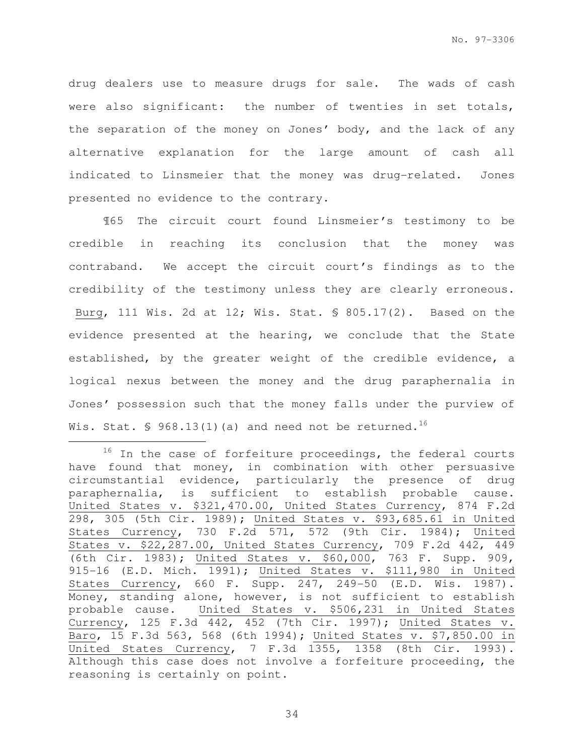drug dealers use to measure drugs for sale. The wads of cash were also significant: the number of twenties in set totals, the separation of the money on Jones' body, and the lack of any alternative explanation for the large amount of cash all indicated to Linsmeier that the money was drug-related. Jones presented no evidence to the contrary.

¶65 The circuit court found Linsmeier's testimony to be credible in reaching its conclusion that the money was contraband. We accept the circuit court's findings as to the credibility of the testimony unless they are clearly erroneous. Burg, 111 Wis. 2d at 12; Wis. Stat. § 805.17(2). Based on the evidence presented at the hearing, we conclude that the State established, by the greater weight of the credible evidence, a logical nexus between the money and the drug paraphernalia in Jones' possession such that the money falls under the purview of Wis. Stat.  $\sqrt{5}$  968.13(1)(a) and need not be returned.<sup>16</sup>

 $16$  In the case of forfeiture proceedings, the federal courts have found that money, in combination with other persuasive circumstantial evidence, particularly the presence of drug paraphernalia, is sufficient to establish probable cause. United States v. \$321,470.00, United States Currency, 874 F.2d 298, 305 (5th Cir. 1989); United States v. \$93,685.61 in United States Currency, 730 F.2d 571, 572 (9th Cir. 1984); United States v. \$22,287.00, United States Currency, 709 F.2d 442, 449 (6th Cir. 1983); United States v. \$60,000, 763 F. Supp. 909, 915-16 (E.D. Mich. 1991); United States v. \$111,980 in United States Currency, 660 F. Supp. 247, 249-50 (E.D. Wis. 1987). Money, standing alone, however, is not sufficient to establish probable cause. United States v. \$506,231 in United States Currency, 125 F.3d 442, 452 (7th Cir. 1997); United States v. Baro, 15 F.3d 563, 568 (6th 1994); United States v. \$7,850.00 in United States Currency, 7 F.3d 1355, 1358 (8th Cir. 1993). Although this case does not involve a forfeiture proceeding, the reasoning is certainly on point.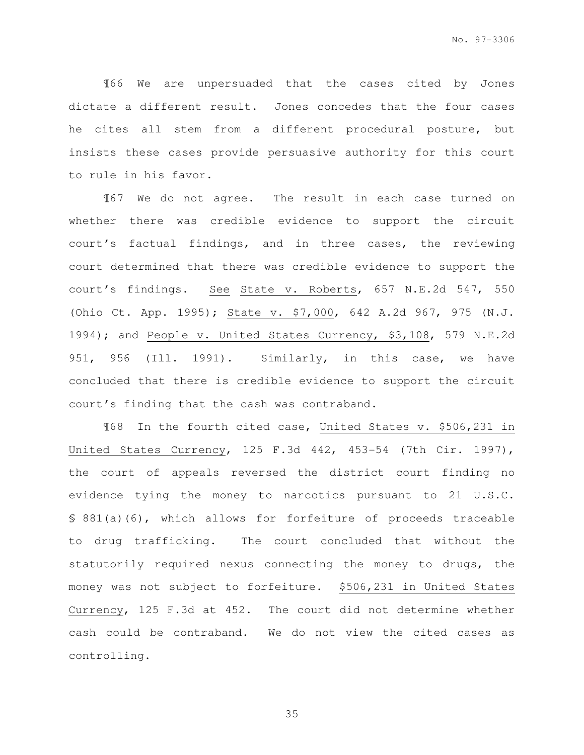¶66 We are unpersuaded that the cases cited by Jones dictate a different result. Jones concedes that the four cases he cites all stem from a different procedural posture, but insists these cases provide persuasive authority for this court to rule in his favor.

¶67 We do not agree. The result in each case turned on whether there was credible evidence to support the circuit court's factual findings, and in three cases, the reviewing court determined that there was credible evidence to support the court's findings. See State v. Roberts, 657 N.E.2d 547, 550 (Ohio Ct. App. 1995); State v. \$7,000, 642 A.2d 967, 975 (N.J. 1994); and People v. United States Currency, \$3,108, 579 N.E.2d 951, 956 (Ill. 1991). Similarly, in this case, we have concluded that there is credible evidence to support the circuit court's finding that the cash was contraband.

¶68 In the fourth cited case, United States v. \$506,231 in United States Currency, 125 F.3d 442, 453-54 (7th Cir. 1997), the court of appeals reversed the district court finding no evidence tying the money to narcotics pursuant to 21 U.S.C. § 881(a)(6), which allows for forfeiture of proceeds traceable to drug trafficking. The court concluded that without the statutorily required nexus connecting the money to drugs, the money was not subject to forfeiture. \$506,231 in United States Currency, 125 F.3d at 452. The court did not determine whether cash could be contraband. We do not view the cited cases as controlling.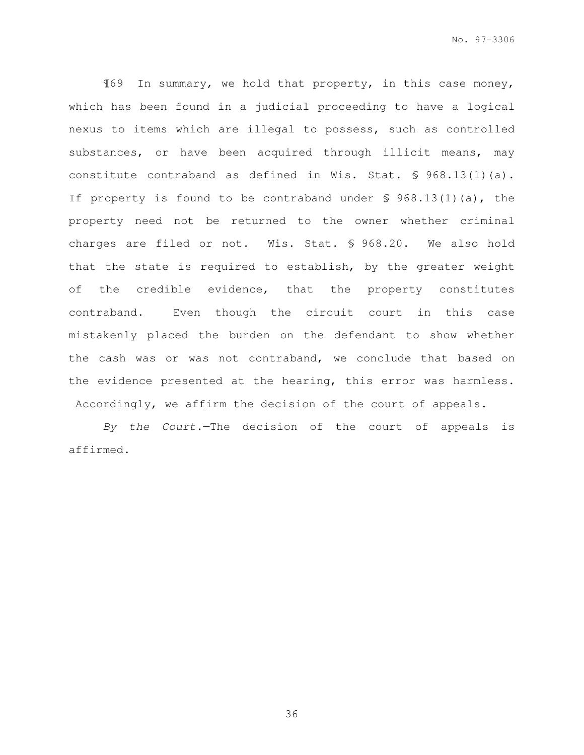¶69 In summary, we hold that property, in this case money, which has been found in a judicial proceeding to have a logical nexus to items which are illegal to possess, such as controlled substances, or have been acquired through illicit means, may constitute contraband as defined in Wis. Stat. § 968.13(1)(a). If property is found to be contraband under § 968.13(1)(a), the property need not be returned to the owner whether criminal charges are filed or not. Wis. Stat. § 968.20. We also hold that the state is required to establish, by the greater weight of the credible evidence, that the property constitutes contraband. Even though the circuit court in this case mistakenly placed the burden on the defendant to show whether the cash was or was not contraband, we conclude that based on the evidence presented at the hearing, this error was harmless. Accordingly, we affirm the decision of the court of appeals.

By the Court.—The decision of the court of appeals is affirmed.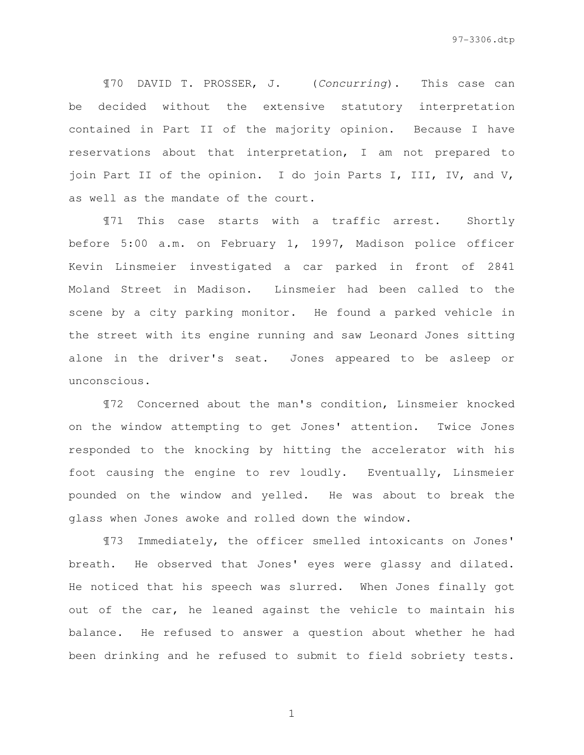¶70 DAVID T. PROSSER, J. (Concurring). This case can be decided without the extensive statutory interpretation contained in Part II of the majority opinion. Because I have reservations about that interpretation, I am not prepared to join Part II of the opinion. I do join Parts I, III, IV, and V, as well as the mandate of the court.

¶71 This case starts with a traffic arrest. Shortly before 5:00 a.m. on February 1, 1997, Madison police officer Kevin Linsmeier investigated a car parked in front of 2841 Moland Street in Madison. Linsmeier had been called to the scene by a city parking monitor. He found a parked vehicle in the street with its engine running and saw Leonard Jones sitting alone in the driver's seat. Jones appeared to be asleep or unconscious.

¶72 Concerned about the man's condition, Linsmeier knocked on the window attempting to get Jones' attention. Twice Jones responded to the knocking by hitting the accelerator with his foot causing the engine to rev loudly. Eventually, Linsmeier pounded on the window and yelled. He was about to break the glass when Jones awoke and rolled down the window.

¶73 Immediately, the officer smelled intoxicants on Jones' breath. He observed that Jones' eyes were glassy and dilated. He noticed that his speech was slurred. When Jones finally got out of the car, he leaned against the vehicle to maintain his balance. He refused to answer a question about whether he had been drinking and he refused to submit to field sobriety tests.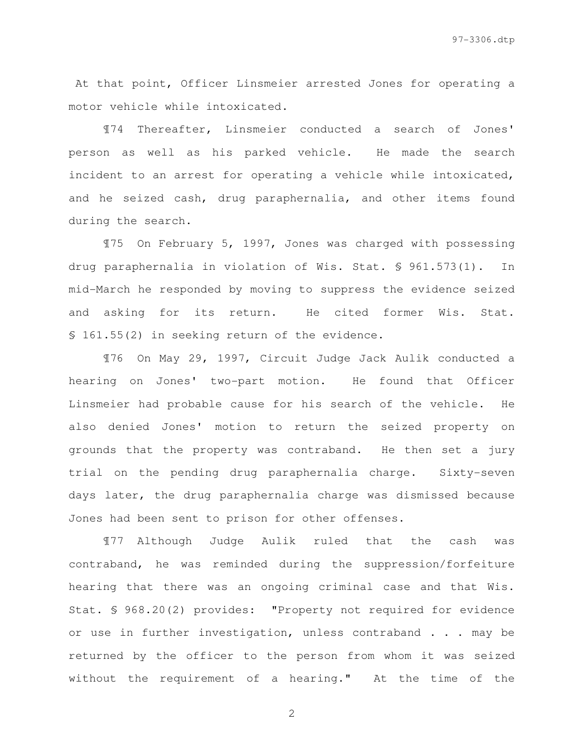At that point, Officer Linsmeier arrested Jones for operating a motor vehicle while intoxicated.

¶74 Thereafter, Linsmeier conducted a search of Jones' person as well as his parked vehicle. He made the search incident to an arrest for operating a vehicle while intoxicated, and he seized cash, drug paraphernalia, and other items found during the search.

¶75 On February 5, 1997, Jones was charged with possessing drug paraphernalia in violation of Wis. Stat. § 961.573(1). In mid-March he responded by moving to suppress the evidence seized and asking for its return. He cited former Wis. Stat. § 161.55(2) in seeking return of the evidence.

¶76 On May 29, 1997, Circuit Judge Jack Aulik conducted a hearing on Jones' two-part motion. He found that Officer Linsmeier had probable cause for his search of the vehicle. He also denied Jones' motion to return the seized property on grounds that the property was contraband. He then set a jury trial on the pending drug paraphernalia charge. Sixty-seven days later, the drug paraphernalia charge was dismissed because Jones had been sent to prison for other offenses.

¶77 Although Judge Aulik ruled that the cash was contraband, he was reminded during the suppression/forfeiture hearing that there was an ongoing criminal case and that Wis. Stat. § 968.20(2) provides: "Property not required for evidence or use in further investigation, unless contraband . . . may be returned by the officer to the person from whom it was seized without the requirement of a hearing." At the time of the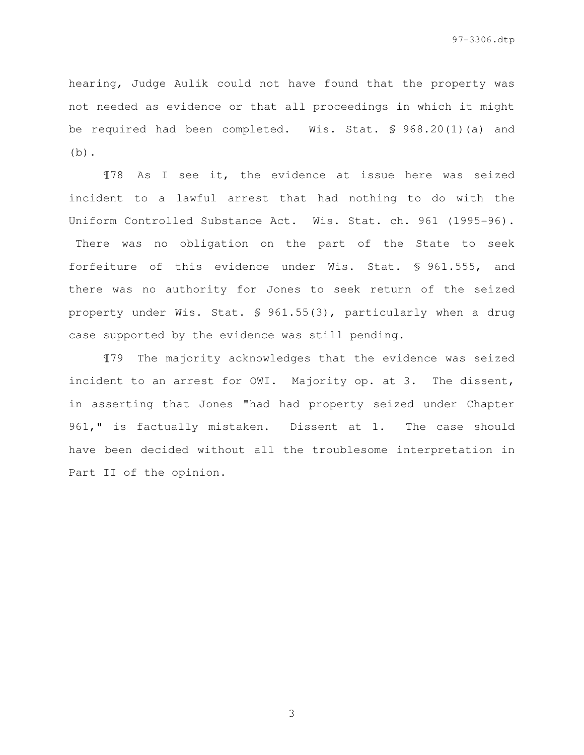hearing, Judge Aulik could not have found that the property was not needed as evidence or that all proceedings in which it might be required had been completed. Wis. Stat. § 968.20(1)(a) and  $(b)$ .

¶78 As I see it, the evidence at issue here was seized incident to a lawful arrest that had nothing to do with the Uniform Controlled Substance Act. Wis. Stat. ch. 961 (1995-96). There was no obligation on the part of the State to seek

forfeiture of this evidence under Wis. Stat. § 961.555, and there was no authority for Jones to seek return of the seized property under Wis. Stat. § 961.55(3), particularly when a drug case supported by the evidence was still pending.

¶79 The majority acknowledges that the evidence was seized incident to an arrest for OWI. Majority op. at 3. The dissent, in asserting that Jones "had had property seized under Chapter 961," is factually mistaken. Dissent at 1. The case should have been decided without all the troublesome interpretation in Part II of the opinion.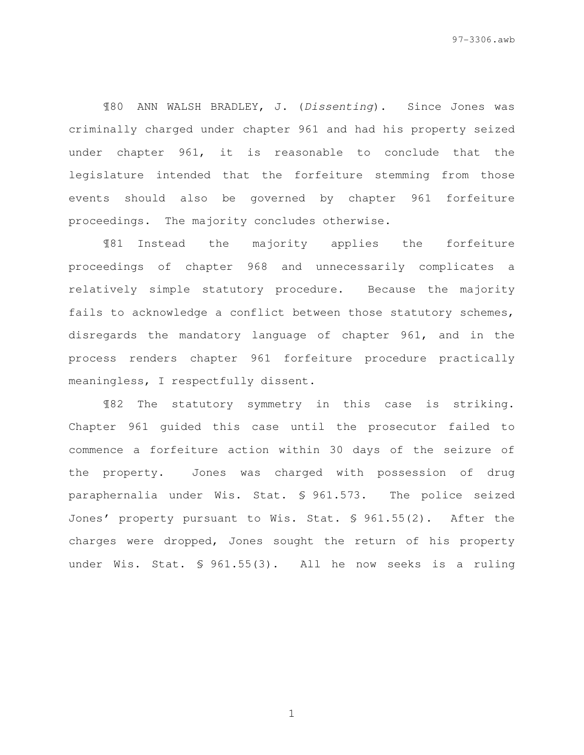¶80 ANN WALSH BRADLEY, J. (Dissenting). Since Jones was criminally charged under chapter 961 and had his property seized under chapter 961, it is reasonable to conclude that the legislature intended that the forfeiture stemming from those events should also be governed by chapter 961 forfeiture proceedings. The majority concludes otherwise.

¶81 Instead the majority applies the forfeiture proceedings of chapter 968 and unnecessarily complicates a relatively simple statutory procedure. Because the majority fails to acknowledge a conflict between those statutory schemes, disregards the mandatory language of chapter 961, and in the process renders chapter 961 forfeiture procedure practically meaningless, I respectfully dissent.

¶82 The statutory symmetry in this case is striking. Chapter 961 guided this case until the prosecutor failed to commence a forfeiture action within 30 days of the seizure of the property. Jones was charged with possession of drug paraphernalia under Wis. Stat. § 961.573. The police seized Jones' property pursuant to Wis. Stat. § 961.55(2). After the charges were dropped, Jones sought the return of his property under Wis. Stat. § 961.55(3). All he now seeks is a ruling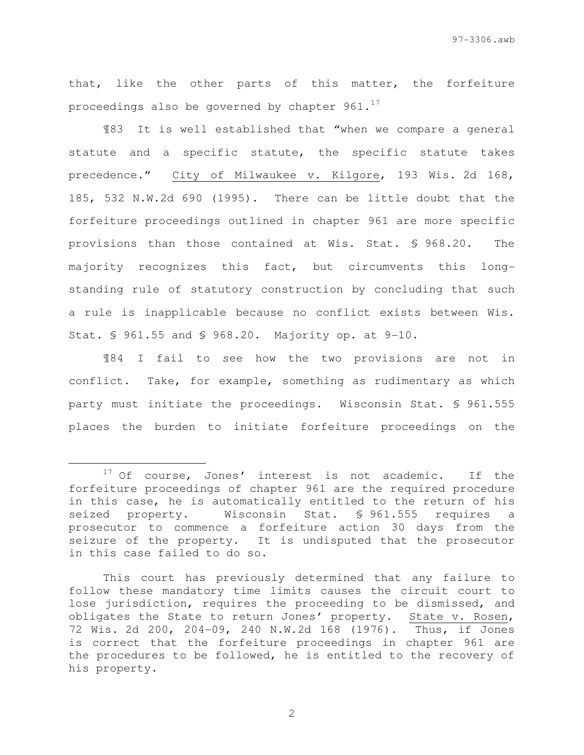that, like the other parts of this matter, the forfeiture proceedings also be governed by chapter  $961.^{17}$ 

¶83 It is well established that "when we compare a general statute and a specific statute, the specific statute takes precedence." City of Milwaukee v. Kilgore, 193 Wis. 2d 168, 185, 532 N.W.2d 690 (1995). There can be little doubt that the forfeiture proceedings outlined in chapter 961 are more specific provisions than those contained at Wis. Stat. § 968.20. The majority recognizes this fact, but circumvents this longstanding rule of statutory construction by concluding that such a rule is inapplicable because no conflict exists between Wis. Stat. § 961.55 and § 968.20. Majority op. at 9-10.

¶84 I fail to see how the two provisions are not in conflict. Take, for example, something as rudimentary as which party must initiate the proceedings. Wisconsin Stat. § 961.555 places the burden to initiate forfeiture proceedings on the

e<br>S

<sup>&</sup>lt;sup>17</sup> Of course, Jones' interest is not academic. If the forfeiture proceedings of chapter 961 are the required procedure in this case, he is automatically entitled to the return of his seized property. Wisconsin Stat. § 961.555 requires a prosecutor to commence a forfeiture action 30 days from the seizure of the property. It is undisputed that the prosecutor in this case failed to do so.

This court has previously determined that any failure to follow these mandatory time limits causes the circuit court to lose jurisdiction, requires the proceeding to be dismissed, and obligates the State to return Jones' property. State v. Rosen, 72 Wis. 2d 200, 204-09, 240 N.W.2d 168 (1976). Thus, if Jones is correct that the forfeiture proceedings in chapter 961 are the procedures to be followed, he is entitled to the recovery of his property.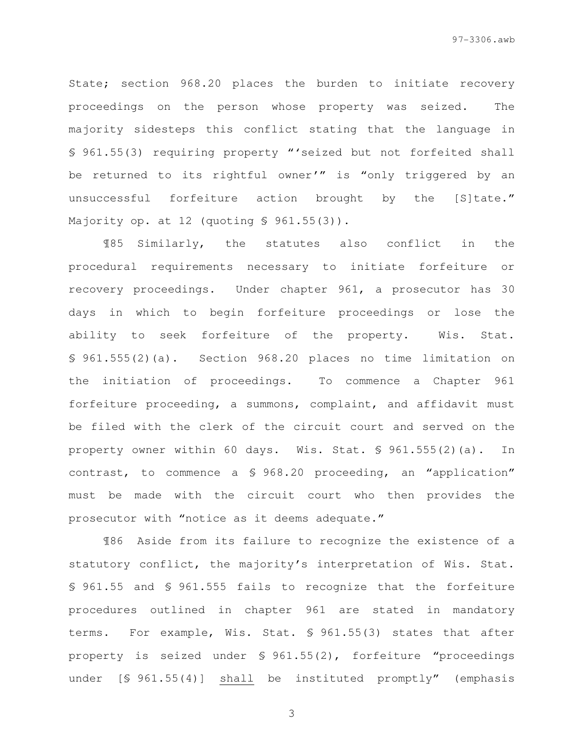State; section 968.20 places the burden to initiate recovery proceedings on the person whose property was seized. The majority sidesteps this conflict stating that the language in § 961.55(3) requiring property "'seized but not forfeited shall be returned to its rightful owner'" is "only triggered by an unsuccessful forfeiture action brought by the [S]tate." Majority op. at 12 (quoting § 961.55(3)).

¶85 Similarly, the statutes also conflict in the procedural requirements necessary to initiate forfeiture or recovery proceedings. Under chapter 961, a prosecutor has 30 days in which to begin forfeiture proceedings or lose the ability to seek forfeiture of the property. Wis. Stat. § 961.555(2)(a). Section 968.20 places no time limitation on the initiation of proceedings. To commence a Chapter 961 forfeiture proceeding, a summons, complaint, and affidavit must be filed with the clerk of the circuit court and served on the property owner within 60 days. Wis. Stat. § 961.555(2)(a). In contrast, to commence a § 968.20 proceeding, an "application" must be made with the circuit court who then provides the prosecutor with "notice as it deems adequate."

¶86 Aside from its failure to recognize the existence of a statutory conflict, the majority's interpretation of Wis. Stat. § 961.55 and § 961.555 fails to recognize that the forfeiture procedures outlined in chapter 961 are stated in mandatory terms. For example, Wis. Stat. § 961.55(3) states that after property is seized under § 961.55(2), forfeiture "proceedings under [§ 961.55(4)] shall be instituted promptly" (emphasis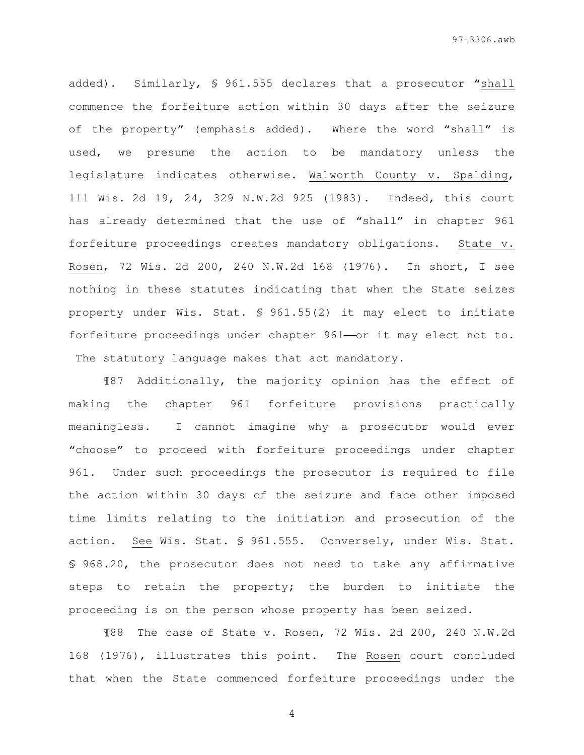added). Similarly, § 961.555 declares that a prosecutor "shall commence the forfeiture action within 30 days after the seizure of the property" (emphasis added). Where the word "shall" is used, we presume the action to be mandatory unless the legislature indicates otherwise. Walworth County v. Spalding, 111 Wis. 2d 19, 24, 329 N.W.2d 925 (1983). Indeed, this court has already determined that the use of "shall" in chapter 961 forfeiture proceedings creates mandatory obligations. State v. Rosen, 72 Wis. 2d 200, 240 N.W.2d 168 (1976). In short, I see nothing in these statutes indicating that when the State seizes property under Wis. Stat. § 961.55(2) it may elect to initiate forfeiture proceedings under chapter 961-or it may elect not to. The statutory language makes that act mandatory.

¶87 Additionally, the majority opinion has the effect of making the chapter 961 forfeiture provisions practically meaningless. I cannot imagine why a prosecutor would ever "choose" to proceed with forfeiture proceedings under chapter 961. Under such proceedings the prosecutor is required to file the action within 30 days of the seizure and face other imposed time limits relating to the initiation and prosecution of the action. See Wis. Stat. § 961.555. Conversely, under Wis. Stat. § 968.20, the prosecutor does not need to take any affirmative steps to retain the property; the burden to initiate the proceeding is on the person whose property has been seized.

¶88 The case of State v. Rosen, 72 Wis. 2d 200, 240 N.W.2d 168 (1976), illustrates this point. The Rosen court concluded that when the State commenced forfeiture proceedings under the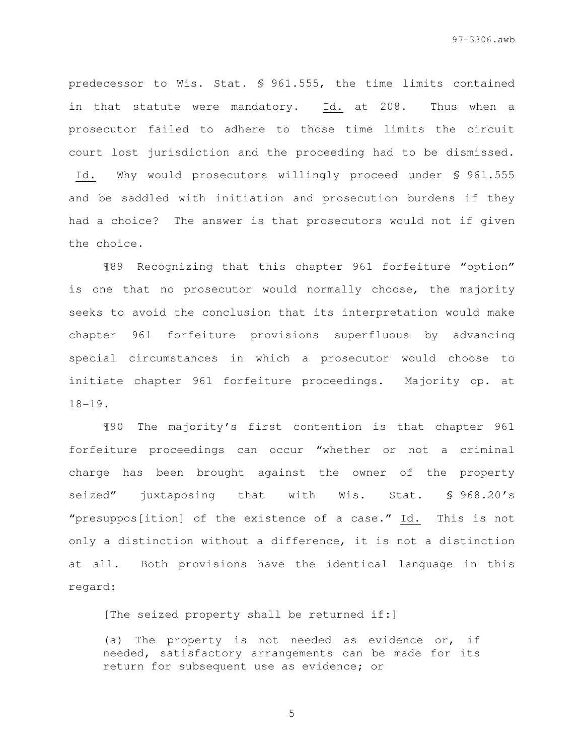predecessor to Wis. Stat. § 961.555, the time limits contained in that statute were mandatory. Id. at 208. Thus when a prosecutor failed to adhere to those time limits the circuit court lost jurisdiction and the proceeding had to be dismissed. Id. Why would prosecutors willingly proceed under § 961.555 and be saddled with initiation and prosecution burdens if they had a choice? The answer is that prosecutors would not if given the choice.

¶89 Recognizing that this chapter 961 forfeiture "option" is one that no prosecutor would normally choose, the majority seeks to avoid the conclusion that its interpretation would make chapter 961 forfeiture provisions superfluous by advancing special circumstances in which a prosecutor would choose to initiate chapter 961 forfeiture proceedings. Majority op. at 18-19.

¶90 The majority's first contention is that chapter 961 forfeiture proceedings can occur "whether or not a criminal charge has been brought against the owner of the property seized" juxtaposing that with Wis. Stat. § 968.20's "presuppos[ition] of the existence of a case." Id. This is not only a distinction without a difference, it is not a distinction at all. Both provisions have the identical language in this regard:

[The seized property shall be returned if:]

(a) The property is not needed as evidence or, if needed, satisfactory arrangements can be made for its return for subsequent use as evidence; or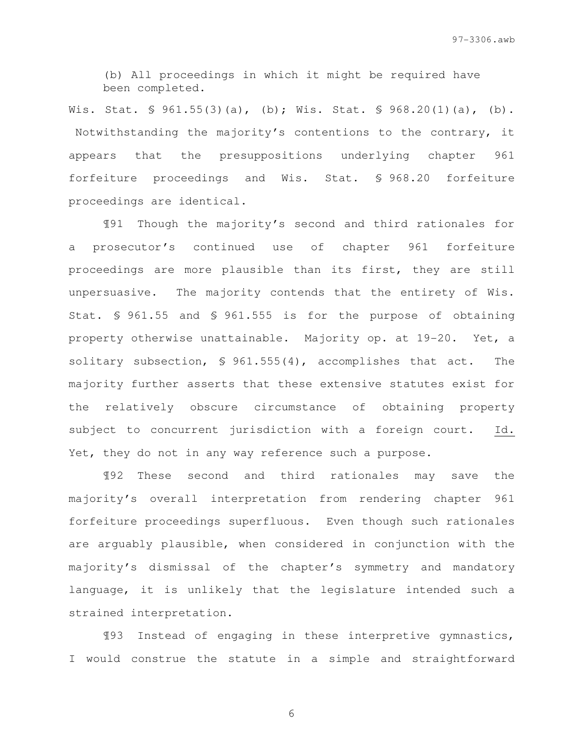(b) All proceedings in which it might be required have been completed.

Wis. Stat. § 961.55(3)(a), (b); Wis. Stat. § 968.20(1)(a), (b). Notwithstanding the majority's contentions to the contrary, it appears that the presuppositions underlying chapter 961 forfeiture proceedings and Wis. Stat. § 968.20 forfeiture proceedings are identical.

¶91 Though the majority's second and third rationales for a prosecutor's continued use of chapter 961 forfeiture proceedings are more plausible than its first, they are still unpersuasive. The majority contends that the entirety of Wis. Stat. § 961.55 and § 961.555 is for the purpose of obtaining property otherwise unattainable. Majority op. at 19-20. Yet, a solitary subsection, § 961.555(4), accomplishes that act. The majority further asserts that these extensive statutes exist for the relatively obscure circumstance of obtaining property subject to concurrent jurisdiction with a foreign court. Id. Yet, they do not in any way reference such a purpose.

¶92 These second and third rationales may save the majority's overall interpretation from rendering chapter 961 forfeiture proceedings superfluous. Even though such rationales are arguably plausible, when considered in conjunction with the majority's dismissal of the chapter's symmetry and mandatory language, it is unlikely that the legislature intended such a strained interpretation.

¶93 Instead of engaging in these interpretive gymnastics, I would construe the statute in a simple and straightforward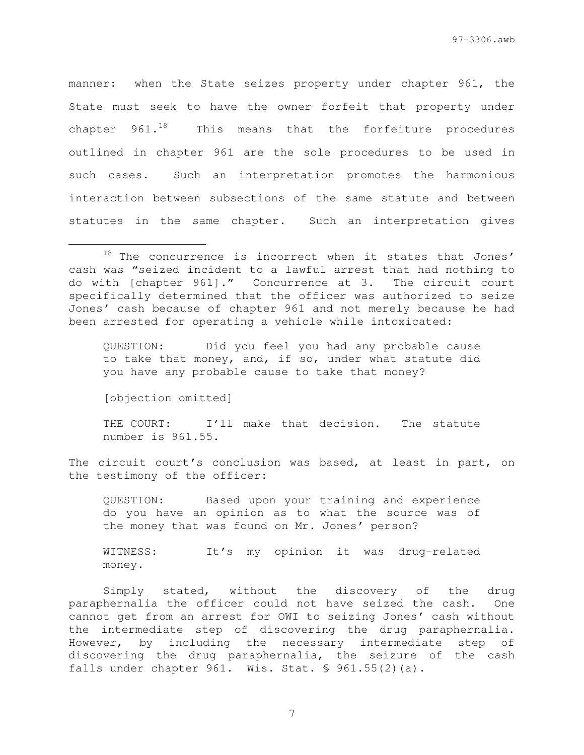manner: when the State seizes property under chapter 961, the State must seek to have the owner forfeit that property under chapter  $961.^{18}$  This means that the forfeiture procedures outlined in chapter 961 are the sole procedures to be used in such cases. Such an interpretation promotes the harmonious interaction between subsections of the same statute and between statutes in the same chapter. Such an interpretation gives

QUESTION: Did you feel you had any probable cause to take that money, and, if so, under what statute did you have any probable cause to take that money?

[objection omitted]

e<br>S

THE COURT: I'll make that decision. The statute number is 961.55.

The circuit court's conclusion was based, at least in part, on the testimony of the officer:

QUESTION: Based upon your training and experience do you have an opinion as to what the source was of the money that was found on Mr. Jones' person?

WITNESS: It's my opinion it was drug-related money.

Simply stated, without the discovery of the drug paraphernalia the officer could not have seized the cash. One cannot get from an arrest for OWI to seizing Jones' cash without the intermediate step of discovering the drug paraphernalia. However, by including the necessary intermediate step of discovering the drug paraphernalia, the seizure of the cash falls under chapter 961. Wis. Stat. § 961.55(2)(a).

 $18$  The concurrence is incorrect when it states that Jones' cash was "seized incident to a lawful arrest that had nothing to do with [chapter 961]." Concurrence at 3. The circuit court specifically determined that the officer was authorized to seize Jones' cash because of chapter 961 and not merely because he had been arrested for operating a vehicle while intoxicated: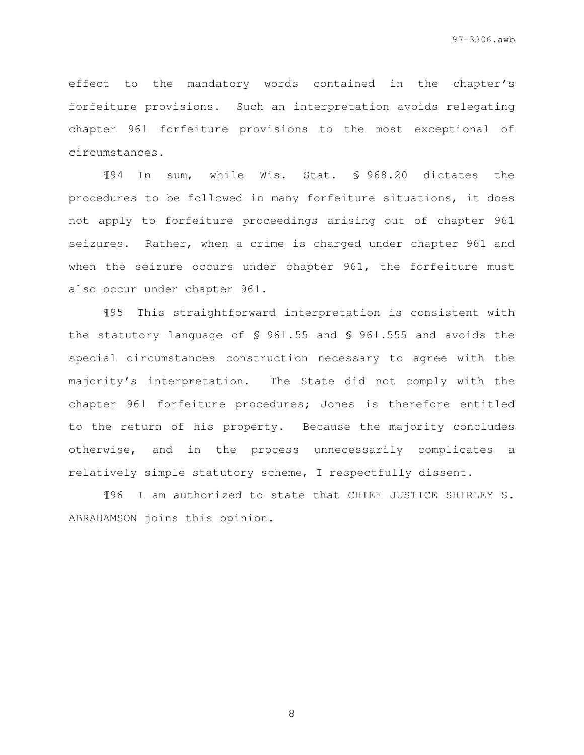effect to the mandatory words contained in the chapter's forfeiture provisions. Such an interpretation avoids relegating chapter 961 forfeiture provisions to the most exceptional of circumstances.

¶94 In sum, while Wis. Stat. § 968.20 dictates the procedures to be followed in many forfeiture situations, it does not apply to forfeiture proceedings arising out of chapter 961 seizures. Rather, when a crime is charged under chapter 961 and when the seizure occurs under chapter 961, the forfeiture must also occur under chapter 961.

¶95 This straightforward interpretation is consistent with the statutory language of § 961.55 and § 961.555 and avoids the special circumstances construction necessary to agree with the majority's interpretation. The State did not comply with the chapter 961 forfeiture procedures; Jones is therefore entitled to the return of his property. Because the majority concludes otherwise, and in the process unnecessarily complicates a relatively simple statutory scheme, I respectfully dissent.

¶96 I am authorized to state that CHIEF JUSTICE SHIRLEY S. ABRAHAMSON joins this opinion.